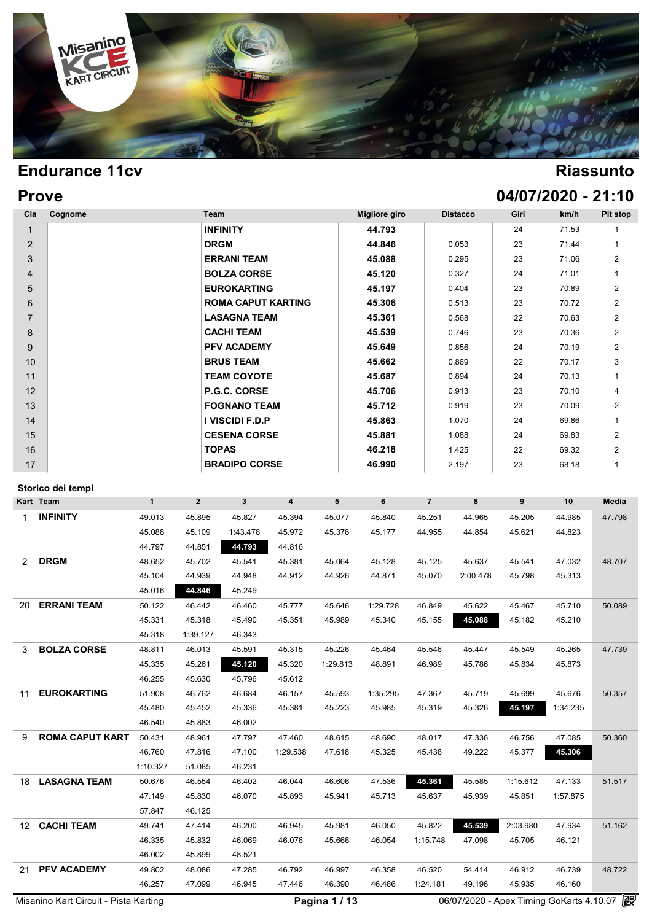

| <b>Prove</b>   |         |                           |                      |                 |      | 04/07/2020 - 21:10 |                |
|----------------|---------|---------------------------|----------------------|-----------------|------|--------------------|----------------|
| Cla            | Cognome | Team                      | <b>Migliore giro</b> | <b>Distacco</b> | Giri | km/h               | Pit stop       |
| $\mathbf{1}$   |         | <b>INFINITY</b>           | 44.793               |                 | 24   | 71.53              |                |
| 2              |         | <b>DRGM</b>               | 44.846               | 0.053           | 23   | 71.44              |                |
| 3              |         | <b>ERRANI TEAM</b>        | 45.088               | 0.295           | 23   | 71.06              | $\overline{2}$ |
| $\overline{4}$ |         | <b>BOLZA CORSE</b>        | 45.120               | 0.327           | 24   | 71.01              | 1              |
| 5              |         | <b>EUROKARTING</b>        | 45.197               | 0.404           | 23   | 70.89              | $\overline{2}$ |
| 6              |         | <b>ROMA CAPUT KARTING</b> | 45.306               | 0.513           | 23   | 70.72              | $\overline{2}$ |
| $\overline{7}$ |         | <b>LASAGNA TEAM</b>       | 45.361               | 0.568           | 22   | 70.63              | $\overline{2}$ |
| 8              |         | <b>CACHI TEAM</b>         | 45.539               | 0.746           | 23   | 70.36              | $\overline{2}$ |
| 9              |         | <b>PFV ACADEMY</b>        | 45.649               | 0.856           | 24   | 70.19              | $\overline{2}$ |
| 10             |         | <b>BRUS TEAM</b>          | 45.662               | 0.869           | 22   | 70.17              | 3              |
| 11             |         | <b>TEAM COYOTE</b>        | 45.687               | 0.894           | 24   | 70.13              | 1              |
| 12             |         | P.G.C. CORSE              | 45.706               | 0.913           | 23   | 70.10              | 4              |
| 13             |         | <b>FOGNANO TEAM</b>       | 45.712               | 0.919           | 23   | 70.09              | $\overline{2}$ |
| 14             |         | I VISCIDI F.D.P           | 45.863               | 1.070           | 24   | 69.86              |                |
| 15             |         | <b>CESENA CORSE</b>       | 45.881               | 1.088           | 24   | 69.83              | $\overline{2}$ |
| 16             |         | <b>TOPAS</b>              | 46.218               | 1.425           | 22   | 69.32              | $\overline{2}$ |
| 17             |         | <b>BRADIPO CORSE</b>      | 46.990               | 2.197           | 23   | 68.18              | 1              |

### **Storico dei tempi**

| Storico dei tempi |                        |              |                |                |                |          |          |                |          |          |          |        |
|-------------------|------------------------|--------------|----------------|----------------|----------------|----------|----------|----------------|----------|----------|----------|--------|
| Kart Team         |                        | $\mathbf{1}$ | $\overline{2}$ | 3 <sup>1</sup> | $\overline{4}$ | 5        | 6        | $\overline{7}$ | 8        | 9        | 10       | Media  |
| <b>INFINITY</b>   |                        | 49.013       | 45.895         | 45.827         | 45.394         | 45.077   | 45.840   | 45.251         | 44.965   | 45.205   | 44.985   | 47.798 |
|                   |                        | 45.088       | 45.109         | 1:43.478       | 45.972         | 45.376   | 45.177   | 44.955         | 44.854   | 45.621   | 44.823   |        |
|                   |                        | 44.797       | 44.851         | 44.793         | 44.816         |          |          |                |          |          |          |        |
| <b>DRGM</b><br>2  |                        | 48.652       | 45.702         | 45.541         | 45.381         | 45.064   | 45.128   | 45.125         | 45.637   | 45.541   | 47.032   | 48.707 |
|                   |                        | 45.104       | 44.939         | 44.948         | 44.912         | 44.926   | 44.871   | 45.070         | 2:00.478 | 45.798   | 45.313   |        |
|                   |                        | 45.016       | 44.846         | 45.249         |                |          |          |                |          |          |          |        |
| 20                | <b>ERRANI TEAM</b>     | 50.122       | 46.442         | 46.460         | 45.777         | 45.646   | 1:29.728 | 46.849         | 45.622   | 45.467   | 45.710   | 50.089 |
|                   |                        | 45.331       | 45.318         | 45.490         | 45.351         | 45.989   | 45.340   | 45.155         | 45.088   | 45.182   | 45.210   |        |
|                   |                        | 45.318       | 1:39.127       | 46.343         |                |          |          |                |          |          |          |        |
| 3                 | <b>BOLZA CORSE</b>     | 48.811       | 46.013         | 45.591         | 45.315         | 45.226   | 45.464   | 45.546         | 45.447   | 45.549   | 45.265   | 47.739 |
|                   |                        | 45.335       | 45.261         | 45.120         | 45.320         | 1:29.813 | 48.891   | 46.989         | 45.786   | 45.834   | 45.873   |        |
|                   |                        | 46.255       | 45.630         | 45.796         | 45.612         |          |          |                |          |          |          |        |
| 11                | <b>EUROKARTING</b>     | 51.908       | 46.762         | 46.684         | 46.157         | 45.593   | 1:35.295 | 47.367         | 45.719   | 45.699   | 45.676   | 50.357 |
|                   |                        | 45.480       | 45.452         | 45.336         | 45.381         | 45.223   | 45.985   | 45.319         | 45.326   | 45.197   | 1:34.235 |        |
|                   |                        | 46.540       | 45.883         | 46.002         |                |          |          |                |          |          |          |        |
| 9                 | <b>ROMA CAPUT KART</b> | 50.431       | 48.961         | 47.797         | 47.460         | 48.615   | 48.690   | 48.017         | 47.336   | 46.756   | 47.085   | 50.360 |
|                   |                        | 46.760       | 47.816         | 47.100         | 1:29.538       | 47.618   | 45.325   | 45.438         | 49.222   | 45.377   | 45.306   |        |
|                   |                        | 1:10.327     | 51.085         | 46.231         |                |          |          |                |          |          |          |        |
| 18                | <b>LASAGNA TEAM</b>    | 50.676       | 46.554         | 46.402         | 46.044         | 46.606   | 47.536   | 45.361         | 45.585   | 1:15.612 | 47.133   | 51.517 |
|                   |                        | 47.149       | 45.830         | 46.070         | 45.893         | 45.941   | 45.713   | 45.637         | 45.939   | 45.851   | 1:57.875 |        |
|                   |                        | 57.847       | 46.125         |                |                |          |          |                |          |          |          |        |
| 12                | <b>CACHI TEAM</b>      | 49.741       | 47.414         | 46.200         | 46.945         | 45.981   | 46.050   | 45.822         | 45.539   | 2:03.980 | 47.934   | 51.162 |
|                   |                        | 46.335       | 45.832         | 46.069         | 46.076         | 45.666   | 46.054   | 1:15.748       | 47.098   | 45.705   | 46.121   |        |
|                   |                        | 46.002       | 45.899         | 48.521         |                |          |          |                |          |          |          |        |
| 21                | <b>PFV ACADEMY</b>     | 49.802       | 48.086         | 47.285         | 46.792         | 46.997   | 46.358   | 46.520         | 54.414   | 46.912   | 46.739   | 48.722 |
|                   |                        | 46.257       | 47.099         | 46.945         | 47.446         | 46.390   | 46.486   | 1:24.181       | 49.196   | 45.935   | 46.160   |        |

Misanino Kart Circuit - Pista Karting **Carry Community Community Community** Pagina 1 / 13 06/07/2020 - Apex Timing GoKarts 4.10.07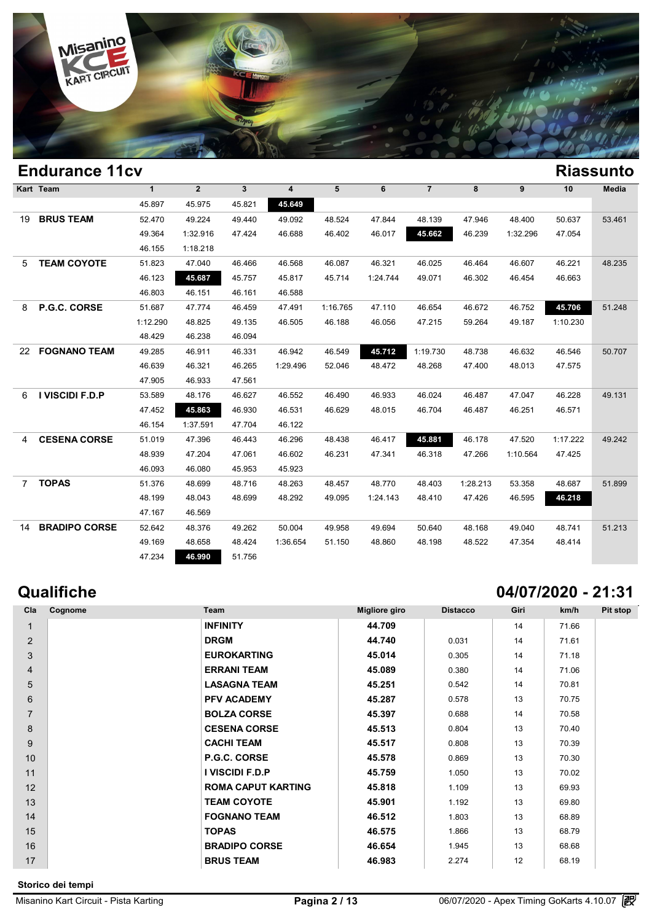

|                | <b>Endurance 11cv</b> |              |                |              |          |          |          |                |          |          |          | <b>Riassunto</b> |
|----------------|-----------------------|--------------|----------------|--------------|----------|----------|----------|----------------|----------|----------|----------|------------------|
|                | Kart Team             | $\mathbf{1}$ | $\overline{2}$ | $\mathbf{3}$ | 4        | 5        | 6        | $\overline{7}$ | 8        | 9        | 10       | Media            |
|                |                       | 45.897       | 45.975         | 45.821       | 45.649   |          |          |                |          |          |          |                  |
| 19             | <b>BRUS TEAM</b>      | 52.470       | 49.224         | 49.440       | 49.092   | 48.524   | 47.844   | 48.139         | 47.946   | 48.400   | 50.637   | 53.461           |
|                |                       | 49.364       | 1:32.916       | 47.424       | 46.688   | 46.402   | 46.017   | 45.662         | 46.239   | 1:32.296 | 47.054   |                  |
|                |                       | 46.155       | 1:18.218       |              |          |          |          |                |          |          |          |                  |
| 5              | <b>TEAM COYOTE</b>    | 51.823       | 47.040         | 46.466       | 46.568   | 46.087   | 46.321   | 46.025         | 46.464   | 46.607   | 46.221   | 48.235           |
|                |                       | 46.123       | 45.687         | 45.757       | 45.817   | 45.714   | 1:24.744 | 49.071         | 46.302   | 46.454   | 46.663   |                  |
|                |                       | 46.803       | 46.151         | 46.161       | 46.588   |          |          |                |          |          |          |                  |
| 8              | P.G.C. CORSE          | 51.687       | 47.774         | 46.459       | 47.491   | 1:16.765 | 47.110   | 46.654         | 46.672   | 46.752   | 45.706   | 51.248           |
|                |                       | 1:12.290     | 48.825         | 49.135       | 46.505   | 46.188   | 46.056   | 47.215         | 59.264   | 49.187   | 1:10.230 |                  |
|                |                       | 48.429       | 46.238         | 46.094       |          |          |          |                |          |          |          |                  |
| 22             | <b>FOGNANO TEAM</b>   | 49.285       | 46.911         | 46.331       | 46.942   | 46.549   | 45.712   | 1:19.730       | 48.738   | 46.632   | 46.546   | 50.707           |
|                |                       | 46.639       | 46.321         | 46.265       | 1:29.496 | 52.046   | 48.472   | 48.268         | 47.400   | 48.013   | 47.575   |                  |
|                |                       | 47.905       | 46.933         | 47.561       |          |          |          |                |          |          |          |                  |
| 6              | I VISCIDI F.D.P       | 53.589       | 48.176         | 46.627       | 46.552   | 46.490   | 46.933   | 46.024         | 46.487   | 47.047   | 46.228   | 49.131           |
|                |                       | 47.452       | 45.863         | 46.930       | 46.531   | 46.629   | 48.015   | 46.704         | 46.487   | 46.251   | 46.571   |                  |
|                |                       | 46.154       | 1:37.591       | 47.704       | 46.122   |          |          |                |          |          |          |                  |
| 4              | <b>CESENA CORSE</b>   | 51.019       | 47.396         | 46.443       | 46.296   | 48.438   | 46.417   | 45.881         | 46.178   | 47.520   | 1:17.222 | 49.242           |
|                |                       | 48.939       | 47.204         | 47.061       | 46.602   | 46.231   | 47.341   | 46.318         | 47.266   | 1:10.564 | 47.425   |                  |
|                |                       | 46.093       | 46.080         | 45.953       | 45.923   |          |          |                |          |          |          |                  |
| $\overline{7}$ | <b>TOPAS</b>          | 51.376       | 48.699         | 48.716       | 48.263   | 48.457   | 48.770   | 48.403         | 1:28.213 | 53.358   | 48.687   | 51.899           |
|                |                       | 48.199       | 48.043         | 48.699       | 48.292   | 49.095   | 1:24.143 | 48.410         | 47.426   | 46.595   | 46.218   |                  |
|                |                       | 47.167       | 46.569         |              |          |          |          |                |          |          |          |                  |
| 14             | <b>BRADIPO CORSE</b>  | 52.642       | 48.376         | 49.262       | 50.004   | 49.958   | 49.694   | 50.640         | 48.168   | 49.040   | 48.741   | 51.213           |
|                |                       | 49.169       | 48.658         | 48.424       | 1:36.654 | 51.150   | 48.860   | 48.198         | 48.522   | 47.354   | 48.414   |                  |
|                |                       | 47.234       | 46.990         | 51.756       |          |          |          |                |          |          |          |                  |

## **Qualifiche 04/07/2020 - 21:31**

| Cla            | Cognome | Team                      | Migliore giro | <b>Distacco</b> | Giri | km/h  | Pit stop |
|----------------|---------|---------------------------|---------------|-----------------|------|-------|----------|
| $\mathbf{1}$   |         | <b>INFINITY</b>           | 44.709        |                 | 14   | 71.66 |          |
| 2              |         | <b>DRGM</b>               | 44.740        | 0.031           | 14   | 71.61 |          |
| 3              |         | <b>EUROKARTING</b>        | 45.014        | 0.305           | 14   | 71.18 |          |
| $\overline{4}$ |         | <b>ERRANI TEAM</b>        | 45.089        | 0.380           | 14   | 71.06 |          |
| 5              |         | <b>LASAGNA TEAM</b>       | 45.251        | 0.542           | 14   | 70.81 |          |
| 6              |         | <b>PFV ACADEMY</b>        | 45.287        | 0.578           | 13   | 70.75 |          |
| $\overline{7}$ |         | <b>BOLZA CORSE</b>        | 45.397        | 0.688           | 14   | 70.58 |          |
| 8              |         | <b>CESENA CORSE</b>       | 45.513        | 0.804           | 13   | 70.40 |          |
| 9              |         | <b>CACHI TEAM</b>         | 45.517        | 0.808           | 13   | 70.39 |          |
| 10             |         | P.G.C. CORSE              | 45.578        | 0.869           | 13   | 70.30 |          |
| 11             |         | I VISCIDI F.D.P           | 45.759        | 1.050           | 13   | 70.02 |          |
| 12             |         | <b>ROMA CAPUT KARTING</b> | 45.818        | 1.109           | 13   | 69.93 |          |
| 13             |         | <b>TEAM COYOTE</b>        | 45.901        | 1.192           | 13   | 69.80 |          |
| 14             |         | <b>FOGNANO TEAM</b>       | 46.512        | 1.803           | 13   | 68.89 |          |
| 15             |         | <b>TOPAS</b>              | 46.575        | 1.866           | 13   | 68.79 |          |
| 16             |         | <b>BRADIPO CORSE</b>      | 46.654        | 1.945           | 13   | 68.68 |          |
| 17             |         | <b>BRUS TEAM</b>          | 46.983        | 2.274           | 12   | 68.19 |          |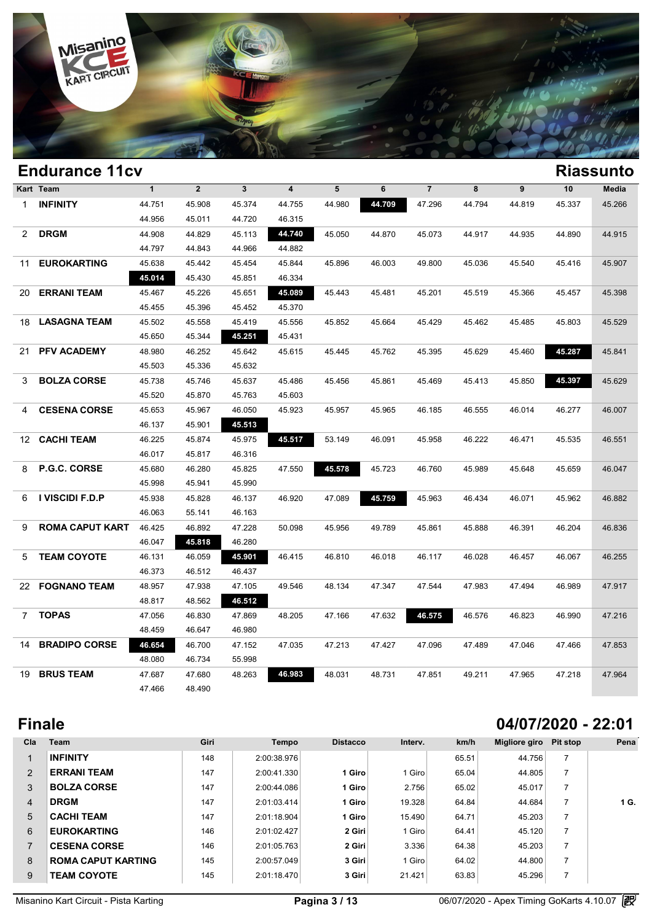

|                 | <b>Endurance 11cv</b>  |              |                |              |                         |        |        |                |        |                  |        | <b>Riassunto</b> |
|-----------------|------------------------|--------------|----------------|--------------|-------------------------|--------|--------|----------------|--------|------------------|--------|------------------|
|                 | Kart Team              | $\mathbf{1}$ | $\overline{2}$ | $\mathbf{3}$ | $\overline{\mathbf{4}}$ | 5      | 6      | $\overline{7}$ | 8      | $\boldsymbol{9}$ | 10     | Media            |
| $\mathbf 1$     | <b>INFINITY</b>        | 44.751       | 45.908         | 45.374       | 44.755                  | 44.980 | 44.709 | 47.296         | 44.794 | 44.819           | 45.337 | 45.266           |
|                 |                        | 44.956       | 45.011         | 44.720       | 46.315                  |        |        |                |        |                  |        |                  |
| $\overline{2}$  | <b>DRGM</b>            | 44.908       | 44.829         | 45.113       | 44.740                  | 45.050 | 44.870 | 45.073         | 44.917 | 44.935           | 44.890 | 44.915           |
|                 |                        | 44.797       | 44.843         | 44.966       | 44.882                  |        |        |                |        |                  |        |                  |
| 11              | <b>EUROKARTING</b>     | 45.638       | 45.442         | 45.454       | 45.844                  | 45.896 | 46.003 | 49.800         | 45.036 | 45.540           | 45.416 | 45.907           |
|                 |                        | 45.014       | 45.430         | 45.851       | 46.334                  |        |        |                |        |                  |        |                  |
| 20              | <b>ERRANI TEAM</b>     | 45.467       | 45.226         | 45.651       | 45.089                  | 45.443 | 45.481 | 45.201         | 45.519 | 45.366           | 45.457 | 45.398           |
|                 |                        | 45.455       | 45.396         | 45.452       | 45.370                  |        |        |                |        |                  |        |                  |
| 18              | <b>LASAGNA TEAM</b>    | 45.502       | 45.558         | 45.419       | 45.556                  | 45.852 | 45.664 | 45.429         | 45.462 | 45.485           | 45.803 | 45.529           |
|                 |                        | 45.650       | 45.344         | 45.251       | 45.431                  |        |        |                |        |                  |        |                  |
| 21              | <b>PFV ACADEMY</b>     | 48.980       | 46.252         | 45.642       | 45.615                  | 45.445 | 45.762 | 45.395         | 45.629 | 45.460           | 45.287 | 45.841           |
|                 |                        | 45.503       | 45.336         | 45.632       |                         |        |        |                |        |                  |        |                  |
| 3               | <b>BOLZA CORSE</b>     | 45.738       | 45.746         | 45.637       | 45.486                  | 45.456 | 45.861 | 45.469         | 45.413 | 45.850           | 45.397 | 45.629           |
|                 |                        | 45.520       | 45.870         | 45.763       | 45.603                  |        |        |                |        |                  |        |                  |
| 4               | <b>CESENA CORSE</b>    | 45.653       | 45.967         | 46.050       | 45.923                  | 45.957 | 45.965 | 46.185         | 46.555 | 46.014           | 46.277 | 46.007           |
|                 |                        | 46.137       | 45.901         | 45.513       |                         |        |        |                |        |                  |        |                  |
| 12              | <b>CACHI TEAM</b>      | 46.225       | 45.874         | 45.975       | 45.517                  | 53.149 | 46.091 | 45.958         | 46.222 | 46.471           | 45.535 | 46.551           |
|                 |                        | 46.017       | 45.817         | 46.316       |                         |        |        |                |        |                  |        |                  |
| 8               | <b>P.G.C. CORSE</b>    | 45.680       | 46.280         | 45.825       | 47.550                  | 45.578 | 45.723 | 46.760         | 45.989 | 45.648           | 45.659 | 46.047           |
|                 |                        | 45.998       | 45.941         | 45.990       |                         |        |        |                |        |                  |        |                  |
| 6               | I VISCIDI F.D.P        | 45.938       | 45.828         | 46.137       | 46.920                  | 47.089 | 45.759 | 45.963         | 46.434 | 46.071           | 45.962 | 46.882           |
|                 |                        | 46.063       | 55.141         | 46.163       |                         |        |        |                |        |                  |        |                  |
| 9               | <b>ROMA CAPUT KART</b> | 46.425       | 46.892         | 47.228       | 50.098                  | 45.956 | 49.789 | 45.861         | 45.888 | 46.391           | 46.204 | 46.836           |
|                 |                        | 46.047       | 45.818         | 46.280       |                         |        |        |                |        |                  |        |                  |
| 5               | <b>TEAM COYOTE</b>     | 46.131       | 46.059         | 45.901       | 46.415                  | 46.810 | 46.018 | 46.117         | 46.028 | 46.457           | 46.067 | 46.255           |
|                 |                        | 46.373       | 46.512         | 46.437       |                         |        |        |                |        |                  |        |                  |
| 22              | <b>FOGNANO TEAM</b>    | 48.957       | 47.938         | 47.105       | 49.546                  | 48.134 | 47.347 | 47.544         | 47.983 | 47.494           | 46.989 | 47.917           |
|                 |                        | 48.817       | 48.562         | 46.512       |                         |        |        |                |        |                  |        |                  |
| $7\phantom{.0}$ | <b>TOPAS</b>           | 47.056       | 46.830         | 47.869       | 48.205                  | 47.166 | 47.632 | 46.575         | 46.576 | 46.823           | 46.990 | 47.216           |
|                 |                        | 48.459       | 46.647         | 46.980       |                         |        |        |                |        |                  |        |                  |
| 14              | <b>BRADIPO CORSE</b>   | 46.654       | 46.700         | 47.152       | 47.035                  | 47.213 | 47.427 | 47.096         | 47.489 | 47.046           | 47.466 | 47.853           |
|                 |                        | 48.080       | 46.734         | 55.998       |                         |        |        |                |        |                  |        |                  |
| 19              | <b>BRUS TEAM</b>       | 47.687       | 47.680         | 48.263       | 46.983                  | 48.031 | 48.731 | 47.851         | 49.211 | 47.965           | 47.218 | 47.964           |
|                 |                        | 47.466       | 48.490         |              |                         |        |        |                |        |                  |        |                  |
|                 |                        |              |                |              |                         |        |        |                |        |                  |        |                  |

# **Finale 04/07/2020 - 22:01**

| Cla | Team                      | Giri | Tempo       | <b>Distacco</b> | Interv. | km/h  | Migliore giro | Pit stop       | Pena |
|-----|---------------------------|------|-------------|-----------------|---------|-------|---------------|----------------|------|
|     | <b>INFINITY</b>           | 148  | 2:00:38.976 |                 |         | 65.51 | 44.756        |                |      |
| 2   | <b>ERRANI TEAM</b>        | 147  | 2:00:41.330 | 1 Giro          | Giro    | 65.04 | 44.805        |                |      |
| 3   | <b>BOLZA CORSE</b>        | 147  | 2:00:44.086 | 1 Giro          | 2.756   | 65.02 | 45.017        |                |      |
| 4   | <b>DRGM</b>               | 147  | 2:01:03.414 | 1 Giro          | 19.328  | 64.84 | 44.684        | 7              | 1 G. |
| 5   | <b>CACHI TEAM</b>         | 147  | 2:01:18.904 | 1 Giro          | 15.490  | 64.71 | 45.203        |                |      |
| 6   | <b>EUROKARTING</b>        | 146  | 2:01:02.427 | 2 Giri          | Giro    | 64.41 | 45.120        |                |      |
|     | <b>CESENA CORSE</b>       | 146  | 2:01:05.763 | 2 Giri          | 3.336   | 64.38 | 45.203        | $\overline{7}$ |      |
| 8   | <b>ROMA CAPUT KARTING</b> | 145  | 2:00:57.049 | 3 Giri          | Giro    | 64.02 | 44.800        |                |      |
| 9   | <b>TEAM COYOTE</b>        | 145  | 2:01:18.470 | 3 Giri          | 21.421  | 63.83 | 45.296        |                |      |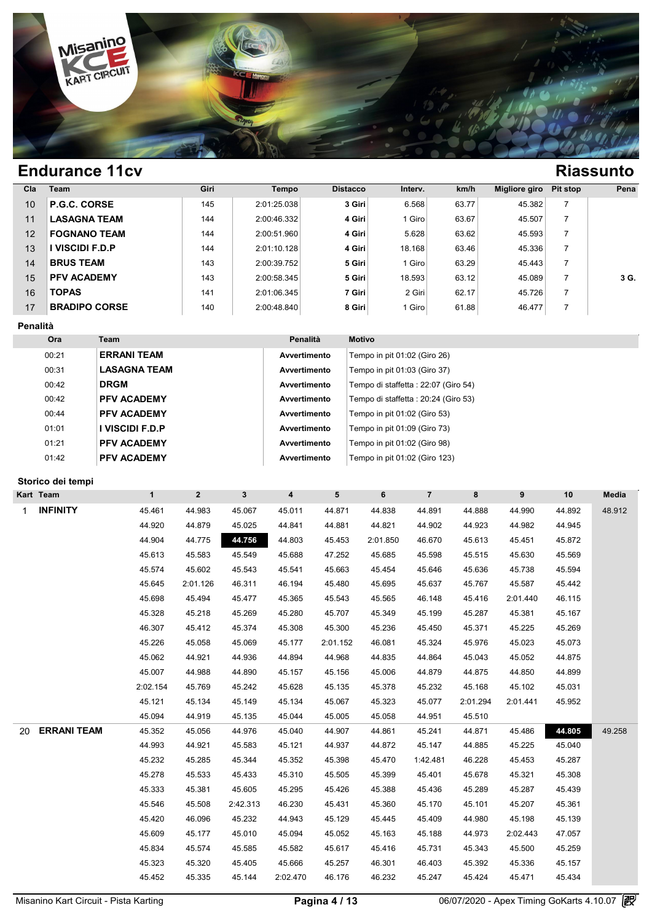

| Cla | <b>Team</b>          | Giri | Tempo       | <b>Distacco</b> | Interv. | km/h  | Migliore giro | Pit stop | Pena |
|-----|----------------------|------|-------------|-----------------|---------|-------|---------------|----------|------|
| 10  | P.G.C. CORSE         | 145  | 2:01:25.038 | 3 Giri          | 6.568   | 63.77 | 45.382        |          |      |
| 11  | <b>LASAGNA TEAM</b>  | 144  | 2:00:46.332 | 4 Giri          | Giro    | 63.67 | 45.507        |          |      |
| 12  | <b>FOGNANO TEAM</b>  | 144  | 2:00:51.960 | 4 Giri          | 5.628   | 63.62 | 45.593        |          |      |
| 13  | VISCIDI F.D.P        | 144  | 2:01:10.128 | 4 Giri          | 18.168  | 63.46 | 45.336        |          |      |
| 14  | <b>BRUS TEAM</b>     | 143  | 2:00:39.752 | 5 Giri          | Giro    | 63.29 | 45.443        |          |      |
| 15  | <b>PFV ACADEMY</b>   | 143  | 2:00:58.345 | 5 Giri          | 18.593  | 63.12 | 45.089        |          | 3 G. |
| 16  | <b>TOPAS</b>         | 141  | 2:01:06.345 | 7 Giri          | 2 Giri  | 62.17 | 45.726        |          |      |
| 17  | <b>BRADIPO CORSE</b> | 140  | 2:00:48.840 | 8 Giri          | Giro    | 61.88 | 46.477        |          |      |

### **Penalità**

| <b>Ora</b> | Team                | Penalità     | <b>Motivo</b>                        |
|------------|---------------------|--------------|--------------------------------------|
| 00:21      | <b>ERRANI TEAM</b>  | Avvertimento | Tempo in pit 01:02 (Giro 26)         |
| 00:31      | <b>LASAGNA TEAM</b> | Avvertimento | Tempo in pit 01:03 (Giro 37)         |
| 00:42      | <b>DRGM</b>         | Avvertimento | Tempo di staffetta : 22:07 (Giro 54) |
| 00:42      | <b>PFV ACADEMY</b>  | Avvertimento | Tempo di staffetta : 20:24 (Giro 53) |
| 00:44      | <b>PFV ACADEMY</b>  | Avvertimento | Tempo in pit 01:02 (Giro 53)         |
| 01:01      | I VISCIDI F.D.P     | Avvertimento | Tempo in pit 01:09 (Giro 73)         |
| 01:21      | <b>PFV ACADEMY</b>  | Avvertimento | Tempo in pit 01:02 (Giro 98)         |
| 01:42      | <b>PFV ACADEMY</b>  | Avvertimento | Tempo in pit 01:02 (Giro 123)        |

### **Storico dei tempi**

|        |                                                                                                                                                             |                                                                                                                                  |                                                                                                                    |                                                                                                                             |                                                                                                         |                                                                                                         |                                                                                                                    |                                                                                                       |                                                                                                         | Media                                                                                                  |
|--------|-------------------------------------------------------------------------------------------------------------------------------------------------------------|----------------------------------------------------------------------------------------------------------------------------------|--------------------------------------------------------------------------------------------------------------------|-----------------------------------------------------------------------------------------------------------------------------|---------------------------------------------------------------------------------------------------------|---------------------------------------------------------------------------------------------------------|--------------------------------------------------------------------------------------------------------------------|-------------------------------------------------------------------------------------------------------|---------------------------------------------------------------------------------------------------------|--------------------------------------------------------------------------------------------------------|
|        |                                                                                                                                                             |                                                                                                                                  |                                                                                                                    |                                                                                                                             |                                                                                                         |                                                                                                         |                                                                                                                    |                                                                                                       |                                                                                                         | 48.912                                                                                                 |
|        |                                                                                                                                                             |                                                                                                                                  |                                                                                                                    |                                                                                                                             |                                                                                                         |                                                                                                         |                                                                                                                    |                                                                                                       |                                                                                                         |                                                                                                        |
|        |                                                                                                                                                             |                                                                                                                                  |                                                                                                                    |                                                                                                                             |                                                                                                         |                                                                                                         |                                                                                                                    |                                                                                                       |                                                                                                         |                                                                                                        |
|        |                                                                                                                                                             |                                                                                                                                  |                                                                                                                    |                                                                                                                             |                                                                                                         |                                                                                                         |                                                                                                                    |                                                                                                       |                                                                                                         |                                                                                                        |
|        |                                                                                                                                                             |                                                                                                                                  |                                                                                                                    |                                                                                                                             |                                                                                                         |                                                                                                         |                                                                                                                    |                                                                                                       |                                                                                                         |                                                                                                        |
|        |                                                                                                                                                             |                                                                                                                                  |                                                                                                                    |                                                                                                                             |                                                                                                         |                                                                                                         |                                                                                                                    |                                                                                                       |                                                                                                         |                                                                                                        |
|        |                                                                                                                                                             |                                                                                                                                  |                                                                                                                    |                                                                                                                             |                                                                                                         |                                                                                                         |                                                                                                                    |                                                                                                       |                                                                                                         |                                                                                                        |
|        |                                                                                                                                                             |                                                                                                                                  |                                                                                                                    |                                                                                                                             |                                                                                                         |                                                                                                         |                                                                                                                    |                                                                                                       |                                                                                                         |                                                                                                        |
|        |                                                                                                                                                             |                                                                                                                                  |                                                                                                                    |                                                                                                                             |                                                                                                         |                                                                                                         |                                                                                                                    |                                                                                                       |                                                                                                         |                                                                                                        |
|        |                                                                                                                                                             |                                                                                                                                  |                                                                                                                    |                                                                                                                             |                                                                                                         |                                                                                                         |                                                                                                                    |                                                                                                       |                                                                                                         |                                                                                                        |
|        |                                                                                                                                                             |                                                                                                                                  |                                                                                                                    |                                                                                                                             |                                                                                                         |                                                                                                         |                                                                                                                    |                                                                                                       |                                                                                                         |                                                                                                        |
| 45.062 | 44.921                                                                                                                                                      | 44.936                                                                                                                           | 44.894                                                                                                             | 44.968                                                                                                                      | 44.835                                                                                                  | 44.864                                                                                                  | 45.043                                                                                                             | 45.052                                                                                                | 44.875                                                                                                  |                                                                                                        |
| 45.007 | 44.988                                                                                                                                                      | 44.890                                                                                                                           | 45.157                                                                                                             | 45.156                                                                                                                      | 45.006                                                                                                  | 44.879                                                                                                  | 44.875                                                                                                             | 44.850                                                                                                | 44.899                                                                                                  |                                                                                                        |
|        | 45.769                                                                                                                                                      | 45.242                                                                                                                           | 45.628                                                                                                             | 45.135                                                                                                                      | 45.378                                                                                                  | 45.232                                                                                                  | 45.168                                                                                                             | 45.102                                                                                                | 45.031                                                                                                  |                                                                                                        |
| 45.121 | 45.134                                                                                                                                                      | 45.149                                                                                                                           | 45.134                                                                                                             | 45.067                                                                                                                      | 45.323                                                                                                  | 45.077                                                                                                  | 2:01.294                                                                                                           | 2:01.441                                                                                              | 45.952                                                                                                  |                                                                                                        |
| 45.094 | 44.919                                                                                                                                                      | 45.135                                                                                                                           | 45.044                                                                                                             | 45.005                                                                                                                      | 45.058                                                                                                  | 44.951                                                                                                  | 45.510                                                                                                             |                                                                                                       |                                                                                                         |                                                                                                        |
| 45.352 | 45.056                                                                                                                                                      | 44.976                                                                                                                           | 45.040                                                                                                             | 44.907                                                                                                                      | 44.861                                                                                                  | 45.241                                                                                                  | 44.871                                                                                                             | 45.486                                                                                                | 44.805                                                                                                  | 49.258                                                                                                 |
| 44.993 | 44.921                                                                                                                                                      | 45.583                                                                                                                           | 45.121                                                                                                             | 44.937                                                                                                                      | 44.872                                                                                                  | 45.147                                                                                                  | 44.885                                                                                                             | 45.225                                                                                                | 45.040                                                                                                  |                                                                                                        |
| 45.232 | 45.285                                                                                                                                                      | 45.344                                                                                                                           | 45.352                                                                                                             | 45.398                                                                                                                      | 45.470                                                                                                  | 1:42.481                                                                                                | 46.228                                                                                                             | 45.453                                                                                                | 45.287                                                                                                  |                                                                                                        |
| 45.278 | 45.533                                                                                                                                                      | 45.433                                                                                                                           | 45.310                                                                                                             | 45.505                                                                                                                      | 45.399                                                                                                  | 45.401                                                                                                  | 45.678                                                                                                             | 45.321                                                                                                | 45.308                                                                                                  |                                                                                                        |
| 45.333 | 45.381                                                                                                                                                      | 45.605                                                                                                                           | 45.295                                                                                                             | 45.426                                                                                                                      | 45.388                                                                                                  | 45.436                                                                                                  | 45.289                                                                                                             | 45.287                                                                                                | 45.439                                                                                                  |                                                                                                        |
| 45.546 | 45.508                                                                                                                                                      | 2:42.313                                                                                                                         | 46.230                                                                                                             | 45.431                                                                                                                      | 45.360                                                                                                  | 45.170                                                                                                  | 45.101                                                                                                             | 45.207                                                                                                | 45.361                                                                                                  |                                                                                                        |
| 45.420 | 46.096                                                                                                                                                      | 45.232                                                                                                                           | 44.943                                                                                                             | 45.129                                                                                                                      | 45.445                                                                                                  | 45.409                                                                                                  | 44.980                                                                                                             | 45.198                                                                                                | 45.139                                                                                                  |                                                                                                        |
| 45.609 | 45.177                                                                                                                                                      | 45.010                                                                                                                           | 45.094                                                                                                             | 45.052                                                                                                                      | 45.163                                                                                                  | 45.188                                                                                                  | 44.973                                                                                                             | 2:02.443                                                                                              | 47.057                                                                                                  |                                                                                                        |
| 45.834 | 45.574                                                                                                                                                      | 45.585                                                                                                                           | 45.582                                                                                                             | 45.617                                                                                                                      | 45.416                                                                                                  | 45.731                                                                                                  | 45.343                                                                                                             | 45.500                                                                                                | 45.259                                                                                                  |                                                                                                        |
| 45.323 | 45.320                                                                                                                                                      | 45.405                                                                                                                           | 45.666                                                                                                             | 45.257                                                                                                                      | 46.301                                                                                                  | 46.403                                                                                                  | 45.392                                                                                                             | 45.336                                                                                                | 45.157                                                                                                  |                                                                                                        |
| 45.452 | 45.335                                                                                                                                                      | 45.144                                                                                                                           | 2:02.470                                                                                                           | 46.176                                                                                                                      | 46.232                                                                                                  | 45.247                                                                                                  | 45.424                                                                                                             | 45.471                                                                                                | 45.434                                                                                                  |                                                                                                        |
|        | Storico dei tempi<br>$\mathbf{1}$<br>45.461<br>44.920<br>44.904<br>45.613<br>45.574<br>45.645<br>45.698<br>45.328<br>46.307<br>45.226<br><b>ERRANI TEAM</b> | $\overline{2}$<br>44.983<br>44.879<br>44.775<br>45.583<br>45.602<br>2:01.126<br>45.494<br>45.218<br>45.412<br>45.058<br>2:02.154 | 3 <sup>1</sup><br>45.067<br>45.025<br>44.756<br>45.549<br>45.543<br>46.311<br>45.477<br>45.269<br>45.374<br>45.069 | $\overline{\mathbf{4}}$<br>45.011<br>44.841<br>44.803<br>45.688<br>45.541<br>46.194<br>45.365<br>45.280<br>45.308<br>45.177 | 5<br>44.871<br>44.881<br>45.453<br>47.252<br>45.663<br>45.480<br>45.543<br>45.707<br>45.300<br>2:01.152 | 6<br>44.838<br>44.821<br>2:01.850<br>45.685<br>45.454<br>45.695<br>45.565<br>45.349<br>45.236<br>46.081 | $\overline{7}$<br>44.891<br>44.902<br>46.670<br>45.598<br>45.646<br>45.637<br>46.148<br>45.199<br>45.450<br>45.324 | 8<br>44.888<br>44.923<br>45.613<br>45.515<br>45.636<br>45.767<br>45.416<br>45.287<br>45.371<br>45.976 | 9<br>44.990<br>44.982<br>45.451<br>45.630<br>45.738<br>45.587<br>2:01.440<br>45.381<br>45.225<br>45.023 | 10<br>44.892<br>44.945<br>45.872<br>45.569<br>45.594<br>45.442<br>46.115<br>45.167<br>45.269<br>45.073 |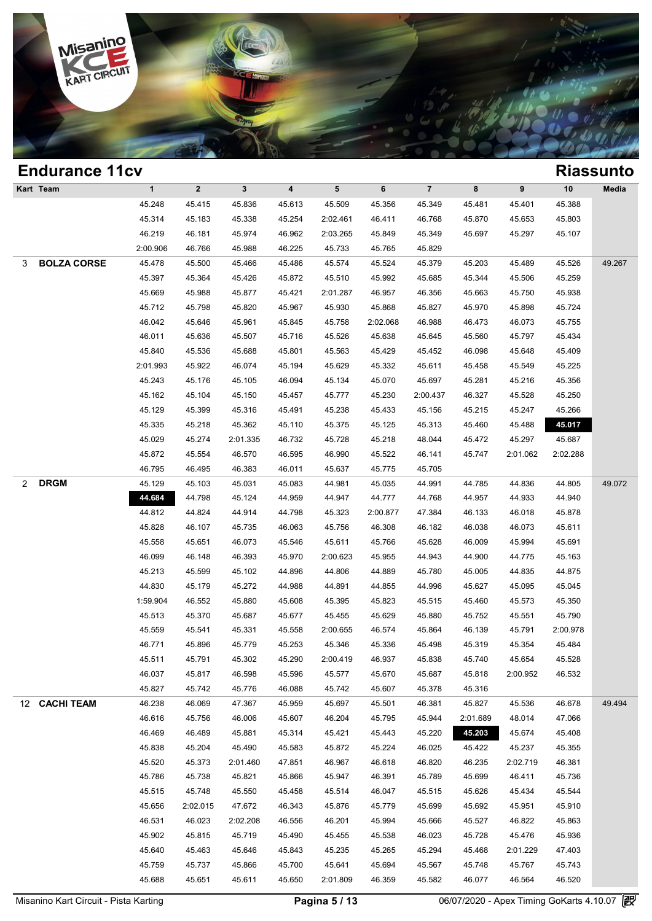

## **Endurance 11cv Riassunto Kart Team 1 2 3 4 5 6 7 8 9 10 Media 1**<br>
45.248 45.415 45.836 45.613 45.509 45.356 45.349 45.481 45.401 45.388<br>
45.314 45.328 45.328 45.356 45.356 45.349 45.481 45.401 45.388 1 2 3 4 5 6 7 8 9 10 Med<br>45.248 45.415 45.836 45.613 45.509 45.356 45.349 45.481 45.401 45.388<br>45.314 45.183 45.338 45.254 2:02.461 46.411 46.768 45.870 45.653 45.803<br>46.210 46.181 46.974 46.962 2:02.461 46.810 45.800 45.6 1 2 3 4 5 6 7 8 9 10 Med<br>45.248 45.415 45.836 45.613 45.509 45.356 45.349 45.481 45.401 45.388<br>45.314 45.183 45.338 45.254 2:02.461 46.411 46.768 45.870 45.653 45.803<br>46.219 46.181 45.974 46.962 2:03.265 45.849 45.349 45.6 45.248 45.415 45.836 45.613 45.509 45.356 45.349 45.41<br>45.314 45.183 45.338 45.254 2:02.461 46.411 46.768 45.8<br>46.219 46.181 45.974 46.962 2:03.265 45.849 45.349 45.61<br>2:00.906 46.766 45.988 46.225 45.733 45.765 45.829 3 **BOLZA CORSE** 45.478 45.500 45.466 45.486 45.574 45.524 45.379 45.203 45.489 45.526 49.267 46.219 46.181 45.974 46.962 2:03.265 45.849 45.349 45.697 45.297 45.107<br>
2:00.906 46.766 45.988 46.225 45.733 45.765 45.829<br>
45.478 45.500 45.466 45.486 45.574 45.524 45.379 45.203 45.489 45.526 49.2<br>
45.397 45.364 45.426 45.478 46.766 45.988 46.225 45.733 45.765 45.829<br>45.478 45.500 45.466 45.486 45.574 45.524 45.379 45.203 45.489 45.526 49.2<br>45.397 45.364 45.426 45.872 45.510 45.992 45.685 45.344 45.506 45.259<br>45.669 45.988 45.877 45.421 45.478 45.500 45.466 45.486 45.574 45.524 45.379 45.203 45.489 45.526 49.2<br>45.397 45.364 45.426 45.872 45.510 45.992 45.685 45.344 45.506 45.259<br>45.669 45.988 45.877 45.421 2:01.287 46.957 46.356 45.663 45.750 45.938<br>45.71 45.397 45.364 45.426 45.872 45.510 45.992 45.685 45.344 45.506 45.259<br>45.669 45.988 45.877 45.421 2:01.287 46.957 46.356 45.663 45.750 45.938<br>45.712 45.798 45.820 45.967 45.930 45.868 45.827 45.970 45.898 45.724<br>46.042 45. 46.669 45.988 45.877 45.421 2:01.287 46.957 46.356 45.663 45.750 45.938<br>45.712 45.798 45.820 45.967 45.930 45.868 45.827 45.970 45.898 45.724<br>46.042 45.646 45.961 45.845 45.758 2:02.068 46.988 46.473 46.073 45.755<br>46.011 4 45.712 45.798 45.820 45.967 45.930 45.868 45.827 45.970 45.898 45.724<br>46.042 45.646 45.961 45.845 45.758 2:02.068 46.988 46.473 46.073 45.755<br>46.011 45.636 45.507 45.716 45.526 45.638 45.645 45.560 45.797 45.434<br>45.840 45. 46.011 45.636 45.507 45.716 45.526 46.988 46.473 46.073 45.755<br>46.011 45.636 45.507 45.716 45.526 45.638 45.645 45.560 45.797 45.434<br>45.840 45.536 45.688 45.801 45.563 45.429 45.452 46.098 45.648 45.409<br>2:01.993 45.922 46. 46.011 45.636 45.507 45.716 45.526 45.638 45.645 45.560 45.797 45.434<br>45.840 45.536 45.688 45.801 45.563 45.429 45.452 46.098 45.648 45.409<br>1:01.993 45.922 46.074 45.194 45.629 45.332 45.611 45.458 45.549 45.225<br>45.243 45. 45.840 45.536 45.688 45.801 45.563 45.429 45.452 46.098 45.648 45.409<br>
2:01.993 45.922 46.074 45.194 45.629 45.332 45.611 45.458 45.549 45.225<br>
45.243 45.176 45.105 46.094 45.134 45.070 45.697 45.281 45.216 45.356<br>
45.162 45.243 45.176 45.105 46.094 45.134 45.070 45.697 45.281 45.216 45.356 45.162 45.104 45.150 46.457 45.777 45.230 2:00.437 46.327 45.528 45.250 45.129 45.399 45.316 45.491 45.238 45.433 45.156 45.215 45.247 45.266 45.255 45 45.243 45.176 45.105 46.094 45.134 45.070 45.697 45.281 45.216 45.356<br>45.162 45.104 45.150 45.457 45.777 45.230 2:00.437 46.327 45.528 45.250<br>45.129 45.399 45.316 45.491 45.238 45.433 45.156 45.215 45.247 45.266<br>45.335 45. 45.162 45.104 45.150 45.457 45.777 45.230 2:00.437 46.327 45.528 45.250<br>45.129 45.399 45.316 45.491 45.238 45.433 45.156 45.215 45.247 45.266<br>45.335 45.218 45.362 45.110 45.375 45.125 45.313 45.460 45.488 45.017<br>45.029 45.2 45.129 45.399 45.316 45.491 45.238 45.433 45.156 45.215 45.247 45.266<br>45.335 45.218 45.362 45.110 45.375 45.125 45.313 45.460 45.488 45.017<br>45.029 45.274 2:01.335 46.732 45.728 45.218 48.044 45.472 45.297 45.687<br>45.872 45. 45.335 45.218 45.362 45.110 45.375 45.125 45.313 45.4<br>45.029 45.274 2:01.335 46.732 45.728 45.218 48.044 45.4<br>45.872 45.554 46.570 46.595 46.990 45.522 46.141 45.74<br>46.795 46.495 46.383 46.011 45.637 45.775 45.705 2 **DRGM** 45.129 45.103 45.031 45.083 44.981 45.035 44.991 44.785 44.836 44.805 49.072 45.872 45.554 46.570 46.595 46.990 45.522 46.141 45.747 2:01.062 2:02.288<br>46.795 46.495 46.383 46.011 45.637 45.775 45.705<br>45.129 45.103 45.031 45.083 44.981 45.035 44.991 44.785 44.836 44.805 49.0<br>44.684 44.798 45.124 44. 46.795 46.495 46.383 46.011 45.637 45.775 45.705<br>45.129 45.103 45.031 45.083 44.981 45.035 44.991 44.785 44.836 44.805 49.0<br>44.812 44.798 45.124 44.959 44.947 44.777 44.768 44.957 44.933 44.940<br>44.812 44.824 44.914 44.798 45.129 45.103 45.031 45.083 44.981 45.035 44.991 44.785 44.836 44.805 49.0<br>
44.684 44.798 45.124 44.959 44.947 44.777 44.768 44.957 44.933 44.940<br>
44.812 44.824 44.914 44.798 45.323 2:00.877 47.384 46.133 46.018 45.878<br>
45. 44.684 44.798 45.124 44.959 44.947 44.777 44.768 44.957 44.933 44.940<br>44.812 44.824 44.914 44.798 45.323 2:00.877 47.384 46.133 46.018 45.878<br>45.828 46.107 45.735 46.063 45.756 46.308 46.182 46.038 46.073 45.611<br>45.558 45.6 46.099 46.148 46.393 46.970 46.396 46.396 46.396 46.396 46.398 46.073 46.618 46.618 46.618 46.617<br>45.558 46.651 46.073 45.546 45.611 45.766 46.628 46.009 45.994 45.691<br>46.099 46.148 46.393 45.970 2:00.623 45.955 44.943 44. 46.828 46.107 45.735 46.063 45.756 46.308 46.182 46.038 46.073 45.611<br>45.558 45.651 46.073 45.546 45.611 45.766 45.628 46.009 45.994 45.691<br>46.099 46.148 46.393 45.970 2:00.623 45.955 44.943 44.900 44.775 45.163<br>45.213 45. 45.558 45.651 46.073 45.546 45.611 45.766 45.628 46.009 45.994 45.691<br>46.099 46.148 46.393 45.970 2:00.623 45.955 44.943 44.900 44.775 45.163<br>45.213 45.599 45.102 44.896 44.806 44.889 45.780 45.005 44.835 44.875<br>44.830 45. 46.099 46.148 46.393 45.970 2:00.623 45.955 44.943 44.900 44.775 45.163<br>45.213 45.599 45.102 44.896 44.806 44.889 45.780 45.005 44.835 44.875<br>44.830 45.179 45.272 44.988 44.891 44.855 44.996 45.627 45.095 45.045<br>1:59.904 46 45.213 45.599 45.102 44.896 44.806 44.889 45.780 45.005 44.835 44.875<br>44.830 45.179 45.272 44.988 44.891 44.855 44.996 45.627 45.095 45.045<br>159.904 46.552 45.880 45.608 45.395 45.823 45.515 45.460 45.573 45.350<br>45.513 45.3 44.830 45.179 45.272 44.988 44.891 44.855 44.996 45.627 45.095 45.045<br>
:59.904 46.552 45.880 45.608 45.395 45.823 45.515 45.460 45.573 45.350<br>
45.513 45.370 45.687 45.677 45.455 45.629 45.880 45.752 45.551 45.790<br>
45.559 4 1:59.904 46.552 45.880 45.608 45.395 45.823 45.515 45.460 45.573 45.350<br>45.513 45.370 45.687 45.677 45.455 45.629 45.880 45.752 45.551 45.790<br>45.559 45.541 45.331 45.558 2:00.655 46.574 45.864 46.139 45.791 2:00.978<br>46.771 45.513 45.370 45.687 45.677 45.455 45.629 45.880 45.752 45.551 45.790<br>45.559 45.541 45.331 45.558 2:00.655 46.574 45.864 46.139 45.791 2:00.978<br>46.771 45.896 45.779 45.253 45.346 45.336 45.498 45.319 45.354 45.484<br>45.511 4 46.771 45.896 45.779 45.253 45.346 46.574 45.484 46.139 45.791 2:00.978<br>46.771 45.896 45.779 45.253 45.346 45.336 45.498 45.319 45.354 45.484<br>45.511 45.791 45.302 45.290 2:00.419 46.937 45.838 45.740 45.654 45.528<br>46.037 4 46.771 45.896 45.779 45.253 45.346 45.336 45.498 45.319 45.3<br>45.511 45.791 45.302 45.290 2:00.419 46.937 45.838 45.740 45.6<br>46.037 45.817 46.598 45.596 45.577 45.670 45.687 45.818 2:00.9<br>45.827 45.742 45.776 46.088 45.742 12 **CACHI TEAM** 46.238 46.069 47.367 45.959 45.697 45.501 46.381 45.827 45.536 46.678 49.494 46.037 45.817 46.598 45.596 45.577 45.670 45.687 45.818 2:00.952 46.532<br>45.827 45.742 45.776 46.088 45.742 45.607 45.378 45.316<br>46.238 46.069 47.367 45.959 45.697 45.501 46.381 45.827 45.536 46.678 49.4<br>46.616 45.756 46.00 46.827 45.742 45.776 46.088 45.742 45.607 45.378 45.316<br>46.238 46.069 47.367 45.959 45.697 45.501 46.381 45.827 45.536 46.678 49.4<br>46.616 45.756 46.006 45.607 46.204 45.795 45.944 2:01.689 48.014 47.066<br>46.469 46.489 45.88 46.238 46.069 47.367 45.959 45.697 45.501 46.381 45.827 45.536 46.678 49.4<br>46.616 45.756 46.006 45.607 46.204 45.795 45.944 2:01.689 48.014 47.066<br>46.469 46.489 45.881 45.314 45.421 45.423 45.220 45.200 45.237 45.408<br>45.83 46.616 45.756 46.006 45.607 46.204 45.795 45.944 2:01.689 48.014 47.066<br>46.469 46.489 45.881 45.314 45.421 45.443 45.220 45.208 45.674 45.408<br>45.838 45.204 45.490 45.583 45.872 45.224 46.025 45.422 45.237 45.355<br>45.520 45.3 46.469 46.489 45.881 45.314 45.421 45.443 45.220 45.203 45.674 45.408<br>45.838 45.204 45.490 45.583 45.872 45.224 46.025 45.422 45.237 45.355<br>45.520 45.373 2:01.460 47.851 46.967 46.618 46.820 46.235 2:02.719 46.381<br>45.786 4 45.838 45.204 45.490 45.583 45.872 45.224 46.025 45.422 45.237 45.355<br>45.520 45.373 2:01.460 47.851 46.967 46.618 46.820 46.235 2:02.719 46.381<br>45.786 45.738 45.821 45.866 45.947 46.391 45.789 45.699 46.411 45.736<br>45.515 4 45.520 45.373 2:01.460 47.851 46.967 46.618 46.820 46.235 2:02.719 46.381<br>45.786 45.738 45.821 45.866 45.947 46.391 45.789 45.699 46.411 45.736<br>45.515 45.748 45.550 45.458 45.514 46.047 45.515 45.626 45.434 45.544<br>45.656 2 46.738 46.821 45.866 45.947 46.391 45.789 45.699 46.411 45.736<br>45.515 45.748 45.550 45.458 45.514 46.047 45.515 45.626 45.434 45.544<br>45.656 2:02.015 47.672 46.343 45.876 45.779 45.699 45.692 45.951 45.910<br>46.531 46.023 2:0 45.515 45.748 45.550 45.458 45.514 46.047 45.515 45.626 45.434 45.544<br>45.656 2:02.015 47.672 46.343 45.876 45.779 45.699 45.692 45.951 45.910<br>46.531 46.023 2:02.208 46.556 46.201 45.994 45.666 45.527 46.822 45.863<br>45.902 4 45.656 2:02.015 47.672 46.343 45.876 45.779 45.699 45.692 45.951 45.910<br>46.531 46.023 2:02.208 46.556 46.201 45.994 45.666 45.527 46.822 45.863<br>45.902 45.815 45.719 45.490 45.455 45.538 46.023 45.728 45.476 45.936<br>45.640 4 46.531 46.023 2:02.208 46.556 46.201 45.994 45.666 45.527 46.822 45.863<br>45.902 45.815 45.719 45.490 45.455 45.538 46.023 45.728 45.476 45.936<br>45.640 45.463 45.646 45.843 45.235 45.265 45.294 45.468 2:01.229 47.403<br>45.759 4 45.902 45.815 45.719 45.490 45.455 45.538 46.023 45.728 45.476 45.936<br>45.640 45.463 45.646 45.843 45.235 45.265 45.294 45.468 2:01.229 47.403<br>45.759 45.737 45.866 45.700 45.641 45.694 45.567 45.748 45.767 45.743<br>45.688 45.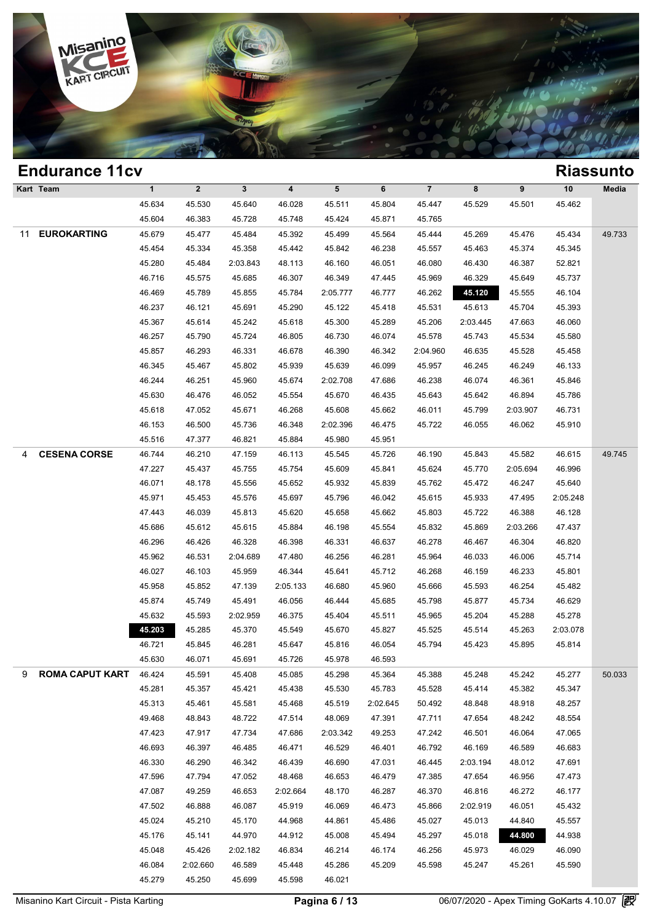

## **Endurance 11cv Riassunto Kart Team 1 2 3 4 5 6 7 8 9 10 Media Process 25.530 45.640 46.028 45.511 45.804 45.447 45.529 45.501 45.462**<br>45.634 45.530 45.640 46.028 45.511 45.804 45.447 45.529 45.501 45.462<br>45.604 46.332 45.733 45.748 45.424 45.371 45.755 45.634 45.530 45.640 46.028 45.511 45.804 45.447 45.53<br>45.604 46.383 45.728 45.748 45.424 45.871 45.765 45.670 45.477 45.477 45.484 45.320 45.424 45.871 45.444 45.32 11 **EUROKARTING** 45.679 45.477 45.484 45.392 45.499 45.564 45.444 45.269 45.476 45.434 49.733 45.634 45.530 45.640 46.028 45.511 45.804 45.447 45.529 45.501 45.462<br>45.604 46.383 45.728 45.748 45.424 45.871 45.765<br>45.679 45.477 45.484 45.392 45.499 45.564 45.444 45.269 45.476 45.434 49.7<br>45.454 45.334 45.358 45.442 4 45.604 46.383 45.728 45.748 45.424 45.871 45.765<br>45.679 45.477 45.484 45.392 45.499 45.564 45.444 45.269 45.476 45.434 49.7<br>45.454 45.334 45.358 45.442 45.842 46.238 45.557 45.463 45.374 45.345<br>45.280 45.484 2:03.843 48.113 45.679 45.477 45.484 45.392 45.499 45.564 45.444 45.269 45.476 45.434 49.7<br>45.454 45.334 45.358 45.442 45.842 46.238 45.557 45.463 45.374 45.345<br>45.280 45.484 2:03.843 48.113 46.160 46.051 46.080 46.430 46.387 52.821<br>46.716 46.469 46.334 46.865 46.313 46.160 46.051 46.080 46.430 45.374 45.374 45.385 45.280 45.484 2:03.843 48.113 46.160 46.051 46.080 46.430 46.387 52.821<br>46.716 45.575 45.685 46.307 46.349 47.445 45.969 46.329 45.649 45.737<br>46. 46.230 45.484 2:03.843 48.113 46.160 46.051 46.080 46.430 46.387 52.821<br>46.716 45.575 45.685 46.307 46.349 47.445 45.969 46.329 45.649 45.737<br>46.469 45.789 45.855 45.784 2:05.777 46.777 46.262 45.120 45.555 46.104<br>46.237 4 46.716 45.575 45.685 46.307 46.349 47.445 45.969 46.329 45.649 45.737<br>46.469 45.789 45.855 45.784 2:05.777 46.777 46.262 45.120 45.555 46.104<br>46.237 46.121 45.691 45.290 45.122 45.418 45.531 45.613 45.704 45.393<br>45.367 45.6 46.469 45.789 45.855 45.784 2:05.777 46.777 46.262 45.120 45.555 46.104<br>46.237 46.121 45.691 45.290 45.122 45.418 45.531 45.613 45.704 45.393<br>45.367 45.614 45.242 45.618 45.300 45.289 45.206 2:03.445 47.663 46.060<br>46.257 45 46.237 46.121 45.691 45.290 45.122 45.418 45.531 45.613 45.704 45.393<br>45.367 45.614 45.242 45.618 45.300 45.289 45.206 2:03.445 47.663 46.060<br>46.257 45.790 45.724 46.805 46.730 46.074 45.578 45.743 45.534 45.580<br>45.857 46. 46.367 46.614 45.242 45.618 45.300 45.289 45.206 2:03.445 47.663 46.060<br>46.257 45.790 45.724 46.805 46.730 46.074 45.578 45.743 45.534 45.580<br>45.857 46.293 46.331 46.678 46.390 46.342 2:04.960 46.635 45.528 45.458<br>46.345 4 46.257 45.790 45.724 46.805 46.730 46.074 45.578 45.743 45.534 45.580<br>45.857 46.293 46.331 46.678 46.390 46.342 2:04.960 46.635 45.528 45.458<br>46.345 45.467 45.802 45.939 45.639 46.099 45.957 46.245 46.249 46.133<br>46.244 46. 46.857 46.293 46.331 46.678 46.390 46.342 2:04.960 46.635 45.528 45.458<br>46.345 45.467 45.802 45.939 45.639 46.099 45.957 46.245 46.249 46.133<br>46.244 46.251 45.960 45.674 2:02.708 47.686 46.238 46.074 46.361 45.846<br>45.630 4 46.345 45.467 45.802 45.939 45.639 46.099 45.957 46.245 46.249 46.133<br>46.244 46.251 45.960 45.674 2:02.708 47.686 46.238 46.074 46.361 45.846<br>45.630 46.476 46.052 45.554 45.670 46.435 45.643 45.642 46.894 45.786<br>45.618 47. 46.244 46.251 45.960 45.674 2:02.708 47.686 46.238 46.074 46.361 45.846<br>45.630 46.476 46.052 45.554 45.670 46.435 45.643 45.642 46.894 45.786<br>45.618 47.052 45.671 46.268 45.608 45.662 46.011 45.799 2:03.907 46.731<br>46.153 4 45.630 46.476 46.052 45.554 45.670 46.435 45.66<br>45.618 47.052 45.671 46.268 45.608 45.662 46.0<br>46.153 46.500 45.736 46.348 2:02.396 46.475 45.7;<br>45.516 47.377 46.821 45.884 45.980 45.951 4 **CESENA CORSE** 46.744 46.210 47.159 46.113 45.545 45.726 46.190 45.843 45.582 46.615 49.745 46.153 46.500 45.736 46.348 2:02.396 46.475 45.722 46.055 46.062 45.910<br>45.516 47.377 46.821 45.884 45.980 45.951<br>46.744 46.210 47.159 46.113 45.545 45.726 46.190 45.843 45.582 46.615 49.7<br>47.227 45.437 45.755 45.754 45.60 45.516 47.377 46.821 45.884 45.980 45.951<br>46.744 46.210 47.159 46.113 45.545 45.726 46.190 45.843 45.582 46.615 49.7<br>47.227 45.437 45.755 45.754 45.609 45.841 45.624 45.770 2:05.694 46.996<br>46.071 48.178 45.556 45.652 45.93 46.744 46.210 47.159 46.113 45.545 45.726 46.190 45.843 45.582 46.615 49.1<br>47.227 45.437 45.755 45.754 45.609 45.841 45.624 45.770 2:05.694 46.996<br>46.071 48.178 45.556 45.652 45.932 45.839 45.762 45.472 46.247 45.640<br>45.97 47.227 45.437 45.755 45.754 45.609 45.841 45.624 45.770 2:05.694 46.996<br>46.071 48.178 45.556 45.652 45.932 45.839 45.762 45.472 46.247 45.640<br>45.971 45.453 45.576 45.697 45.796 46.042 45.615 45.933 47.495 2:05.248<br>47.443 4 46.071 48.178 45.556 45.652 45.932 45.839 45.762 45.472 46.247 45.640<br>45.971 45.453 45.576 45.697 45.796 46.042 45.615 45.933 47.495 2:05.248<br>47.443 46.039 45.813 45.620 45.658 45.662 45.803 45.722 46.388 46.128<br>45.686 45.6 46.971 45.453 45.576 45.697 45.796 46.042 45.615 45.933 47.495 2:05.248<br>47.443 46.039 45.813 45.620 45.658 45.662 45.803 45.722 46.388 46.128<br>45.686 45.612 45.615 45.884 46.198 45.554 45.832 45.869 2:03.266 47.437<br>46.296 46 46.039 45.813 45.620 45.662 45.803 45.722 46.388 46.128<br>45.686 45.612 45.615 45.884 46.198 45.554 45.832 45.869 2:03.266 47.437<br>46.296 46.426 46.328 46.398 46.331 46.637 46.278 46.467 46.304 46.820<br>45.962 46.531 2:04.689 47 45.686 45.612 45.615 45.884 46.198 45.554 45.832 45.869 2:03.266 47.437<br>46.296 46.426 46.328 46.398 46.331 46.637 46.278 46.467 46.304 46.820<br>45.962 46.531 2:04.689 47.480 46.256 46.281 45.964 46.033 46.006 45.714<br>46.027 4 46.296 46.426 46.328 46.398 46.331 46.637 46.278 46.467 46.304 46.820<br>45.962 46.531 2:04.689 47.480 46.256 46.281 45.964 46.033 46.006 45.714<br>46.027 46.103 45.959 46.344 45.641 45.712 46.268 46.159 46.233 45.801<br>45.958 45. 46.962 46.531 2:04.689 47.480 46.256 46.281 45.964 46.033 46.006 45.714<br>46.027 46.103 45.959 46.344 45.641 45.712 46.268 46.159 46.233 45.801<br>45.958 45.852 47.139 2:05.133 46.680 45.960 45.666 45.593 46.254 45.482<br>45.874 4 46.027 46.103 45.959 46.344 45.641 45.712 46.268 46.159 46.233 45.801<br>45.958 45.852 47.139 2:05.133 46.680 45.960 45.666 45.593 46.254 45.482<br>45.874 45.749 45.491 46.056 46.444 45.685 45.798 45.877 45.734 46.629<br>45.632 45.5 45.858 45.852 47.139 2:05.133 46.680 45.960 45.666 45.593 46.254 45.482<br>45.874 45.749 45.491 46.056 46.444 45.685 45.798 45.877 45.734 46.629<br>45.632 45.593 2:02.959 46.375 45.404 45.511 45.965 45.204 45.288 45.278<br>45.203 4 46.874 46.749 46.491 46.056 46.444 45.685 45.798 45.877 45.734 46.629<br>45.632 45.593 2:02.959 46.375 45.404 45.511 45.965 45.204 45.288 45.278<br>45.7208 45.285 45.370 45.549 45.670 45.827 45.525 45.514 45.263 2:03.078<br>46.721 45.632 45.593 2:02.959 46.375 45.404 45.511 45.91<br>45.203 45.285 45.370 45.549 45.670 45.827 45.5<br>46.721 45.845 46.281 45.647 45.816 46.054 45.71<br>45.630 46.071 45.691 45.726 45.978 46.593 9 **ROMA CAPUT KARTING**46.424 45.591 45.408 45.085 45.298 45.364 45.388 45.248 45.242 45.277 50.033 46.721 45.845 46.281 45.647 45.816 46.054 45.794 45.423 45.895 45.814<br>45.630 46.071 45.691 45.726 45.978 46.593<br>46.424 45.591 45.408 45.085 45.298 45.364 45.388 45.248 45.242 45.277 50.0<br>45.281 45.357 45.421 45.438 45.530 45.630 46.071 45.691 45.726 45.978 46.593<br>46.424 45.591 45.408 45.085 45.298 45.364 45.388 45.248 45.242 45.277 50.0<br>45.281 45.357 45.421 45.438 45.530 45.783 45.528 45.414 45.382 45.347<br>45.313 45.461 45.581 45.468 45.519 46.424 45.591 45.408 45.085 45.298 45.364 45.388 45.248 45.242 45.277 50.0<br>45.281 45.357 45.421 45.438 45.530 45.783 45.528 45.414 45.382 45.347<br>45.313 45.461 45.581 45.468 45.519 2:02.645 50.492 48.848 48.918 48.257<br>49.468 45.281 45.357 45.421 45.438 45.530 45.783 45.528 45.414 45.382 45.347<br>45.313 45.461 45.581 45.468 45.519 2:02.645 50.492 48.848 48.918 48.257<br>49.468 48.843 48.722 47.514 48.069 47.391 47.711 47.654 48.242 48.554<br>47.423 47. 46.693 46.485 46.485 46.485 46.487 46.529 46.485 46.693 46.397 46.485 46.485 46.487 46.529 46.690 47.791 46.792 46.485 46.397 46.485 46.487 46.693 46.397 46.485 46.487 46.699 46.699 46.487 46.487 46.487 46.488 46.487 46.69 46.483 48.722 47.514 48.069 47.391 47.711 47.654 48.242 48.554<br>47.423 47.917 47.734 47.686 2:03.342 49.253 47.242 46.501 46.064 47.065<br>46.693 46.397 46.485 46.471 46.529 46.401 46.792 46.169 46.589 46.683<br>46.330 46.290 46. 47.423 47.917 47.734 47.686 2:03.342 49.253 47.242 46.501 46.064 47.065<br>46.693 46.397 46.485 46.471 46.529 46.401 46.792 46.169 46.589 46.683<br>46.330 46.290 46.342 46.439 46.690 47.031 46.445 2:03.194 48.012 47.691<br>47.596 4 46.693 46.397 46.485 46.471 46.529 46.401 46.792 46.169 46.589 46.683<br>46.330 46.290 46.342 46.439 46.690 47.031 46.445 2:03.194 48.012 47.691<br>47.596 47.794 47.052 48.468 46.653 46.479 47.385 47.654 46.956 47.473<br>47.087 49. 46.330 46.290 46.342 46.439 46.690 47.031 46.445 2:03.194 48.012 47.691<br>47.596 47.794 47.052 48.468 46.653 46.479 47.385 47.654 46.956 47.473<br>47.087 49.259 46.653 2:02.664 48.170 46.287 46.370 46.816 46.272 46.177<br>47.502 4 47.596 47.794 47.052 48.468 46.653 46.479 47.385 47.654 46.956 47.473<br>47.087 49.259 46.653 2:02.664 48.170 46.287 46.370 46.816 46.272 46.177<br>47.502 46.888 46.087 45.919 46.069 46.473 45.866 2:02.919 46.051 45.432<br>45.024 4 46.277 46.287 46.287 46.370 46.287 46.370 46.272 46.177<br>47.502 46.888 46.087 45.919 46.069 46.473 45.866 2:02.919 46.051 45.432<br>45.024 45.210 45.170 44.968 44.861 45.486 45.027 45.013 44.840 45.557<br>45.176 45.141 44.970 44. 46.024 46.888 46.087 45.919 46.069 46.473 45.866 2:02.919 46.051 45.432<br>45.024 45.210 45.170 44.968 44.861 45.486 45.027 45.013 44.840 45.557<br>45.176 45.141 44.970 44.912 45.008 45.494 45.297 45.018 44.840 44.938<br>45.048 45. 46.024 45.210 45.170 44.968 44.861 45.486 45.027 45.013 44.840 45.557<br>45.176 45.141 44.970 44.912 45.008 45.494 45.297 45.018 44.800 44.938<br>45.048 45.426 2:02.182 46.834 46.214 46.174 46.256 45.973 46.029 46.090<br>46.084 2:02 45.176 45.141 44.970 44.912 45.008 45.4<br>45.048 45.426 2:02.182 46.834 46.214 46.1<br>46.084 2:02.660 46.589 45.448 45.286 45.21<br>45.279 45.250 45.699 45.598 46.021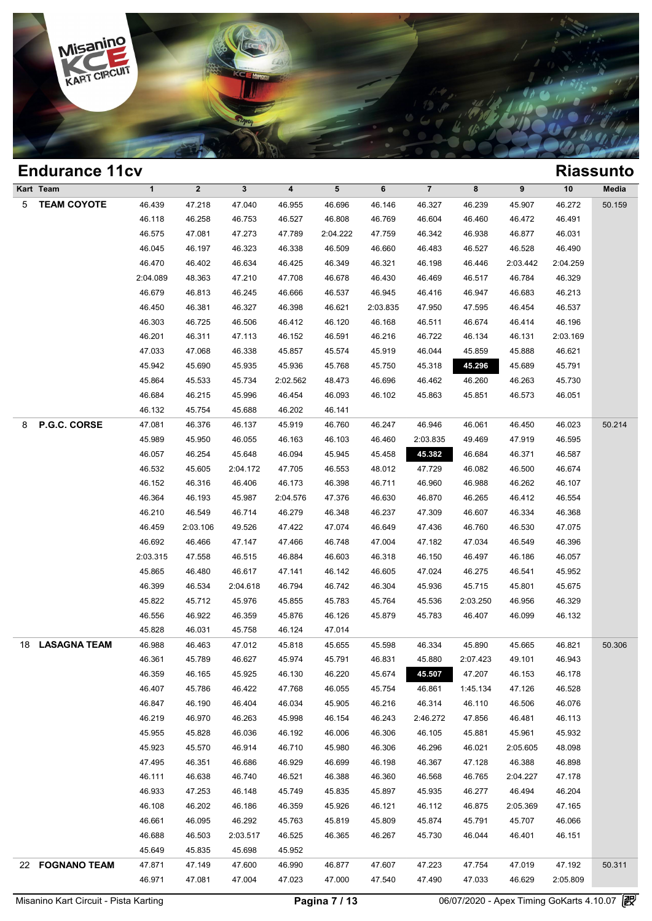

## **Endurance 11cv Riassunto Kart Team 1 2 3 4 5 6 7 8 9 10 Media** 5 **TEAM COYOTE** 46.439 47.218 47.040 46.955 46.696 46.146 46.327 46.239 45.907 46.272 50.159 1 2 3 4 5 6 7 8 9 10 Med<br>46.439 47.218 47.040 46.955 46.696 46.146 46.327 46.239 45.907 46.272 50.1<br>46.118 46.258 46.753 46.527 46.808 46.769 46.604 46.460 46.472 46.491<br>46.575 47.081 47.773 47.780 204.222 47.750 46.342 46 46.439 47.218 47.040 46.955 46.696 46.146 46.327 46.239 45.907 46.272 50.1<br>46.118 46.258 46.753 46.527 46.808 46.769 46.604 46.460 46.472 46.491<br>46.575 47.081 47.273 47.789 2:04.222 47.759 46.342 46.938 46.877 46.031<br>46.9 46.439 47.218 47.040 46.955 46.696 46.146 46.327 46.239 45.907 46.272 50.1<br>46.118 46.258 46.753 46.527 46.808 46.769 46.604 46.460 46.472 46.491<br>46.575 47.081 47.273 47.789 2:04.222 47.759 46.342 46.938 46.877 46.031<br>46.04 46.118 46.258 46.753 46.527 46.808 46.769 46.604 46.460 46.472 46.491<br>46.575 47.081 47.273 47.789 2:04.222 47.759 46.342 46.938 46.877 46.031<br>46.045 46.197 46.323 46.338 46.509 46.660 46.483 46.527 46.528 46.490<br>46.470 46. 46.575 47.081 47.273 47.789 2:04.222 47.759 46.342 46.938 46.877 46.031<br>46.045 46.197 46.323 46.338 46.509 46.660 46.483 46.527 46.528 46.490<br>46.470 46.402 46.634 46.425 46.349 46.321 46.198 46.446 2:03.442 2:04.259<br>2:04.0 46.045 46.197 46.323 46.338 46.509 46.660 46.483 46.527 46.528 46.490<br>46.470 46.402 46.634 46.425 46.349 46.321 46.198 46.446 2:03.442 2:04.259<br>48.363 47.210 47.708 46.678 46.430 46.469 46.517 46.784 46.329<br>46.679 46.813 4 46.470 46.402 46.634 46.425 46.349 46.321 46.198 46.446 2:03.442 2:04.259<br>
2:04.089 48.363 47.210 47.708 46.678 46.430 46.469 46.517 46.784 46.329<br>
46.679 46.813 46.245 46.666 46.537 46.945 46.416 46.947 46.683 46.213<br>
46.4 46.679 46.363 47.210 47.708 46.678 46.430 46.469 46.517 46.784 46.329<br>46.679 46.813 46.245 46.666 46.537 46.945 46.416 46.947 46.683 46.213<br>46.450 46.381 46.327 46.398 46.621 2:03.835 47.950 47.595 46.454 46.537<br>46.303 46 46.679 46.813 46.245 46.666 46.537 46.945 46.416 46.947 46.683 46.213<br>46.450 46.381 46.327 46.398 46.621 2:03.835 47.950 47.595 46.454 46.537<br>46.303 46.725 46.506 46.412 46.120 46.168 46.511 46.674 46.414 46.196<br>46.201 46.3 46.450 46.381 46.327 46.398 46.621 2:03.835 47.950 47.595 46.454 46.537<br>46.303 46.725 46.506 46.412 46.120 46.168 46.511 46.674 46.414 46.196<br>46.201 46.311 47.113 46.152 46.591 46.216 46.722 46.134 46.131 2:03.169<br>47.033 4 46.303 46.725 46.506 46.412 46.120 46.168 46.511 46.674 46.414 46.196<br>46.201 46.311 47.113 46.152 46.591 46.216 46.722 46.134 46.131 2:03.169<br>47.033 47.068 46.338 45.857 45.574 45.919 46.044 45.859 45.888 46.621<br>45.942 45. 46.201 46.311 47.113 46.152 46.591 46.216 46.722 46.134 46.131 2:03.169<br>47.033 47.068 46.338 45.857 45.574 45.919 46.044 45.859 45.888 46.621<br>45.942 45.690 45.935 45.936 45.768 45.750 45.318 45.7246 45.689 45.731<br>45.864 45 47.033 47.068 46.338 45.857 45.574 45.919 46.044 45.859 45.888 46.621<br>45.942 45.690 45.935 45.736 45.768 45.750 45.318 45.296 45.689 45.791<br>45.864 45.533 45.734 2:02.562 48.473 46.696 46.462 46.260 46.263 45.730<br>46.684 46. 45.942 45.690 45.935 45.936 45.768 45.71<br>45.864 45.533 45.734 2:02.562 48.473 46.6<br>46.684 46.215 45.996 46.454 46.093 46.11<br>46.132 45.754 45.688 46.202 46.141 8 **P.G.C. CORSE** 47.081 46.376 46.137 45.919 46.760 46.247 46.946 46.061 46.450 46.023 50.214 46.684 46.215 45.996 46.454 46.093 46.102 45.863 45.851 46.573 46.051<br>46.132 45.754 45.688 46.202 46.141<br>47.081 46.376 46.137 45.919 46.760 46.247 46.946 46.061 46.450 46.023 50.2<br>45.989 45.950 46.055 46.163 46.103 46.460 46.132 45.754 45.688 46.202 46.141<br>47.081 46.376 46.137 45.919 46.760 46.247 46.946 46.061 46.450 46.023 50.2<br>45.989 45.950 46.055 46.163 46.103 46.460 2:03.835 49.469 47.919 46.595<br>46.057 46.254 45.648 46.094 45.945 45.45 46.976 46.137 45.919 46.760 46.247 46.946 46.061 46.450 46.023 50.2<br>45.989 45.950 46.055 46.163 46.103 46.460 2:03.835 49.469 47.919 46.595<br>46.057 46.254 45.648 46.094 45.945 45.458 45.452 46.684 46.371 46.587<br>46.532 45.60 46.989 45.950 46.055 46.163 46.103 46.460 2:03.835 49.469 47.919 46.595<br>46.057 46.254 45.648 46.094 45.945 45.458 45.458 46.684 46.371 46.587<br>46.532 45.605 2:04.172 47.705 46.553 48.012 47.729 46.082 46.500 46.674<br>46.152 46 46.057 46.254 45.648 46.094 45.945 45.458 45.382 46.684 46.371 46.587<br>46.532 45.605 2:04.172 47.705 46.553 48.012 47.729 46.082 46.500 46.674<br>46.152 46.316 46.406 46.173 46.398 46.711 46.960 46.988 46.262 46.107<br>46.364 46.1 46.532 45.605 2:04.172 47.705 46.553 48.012 47.729 46.082 46.500 46.674<br>46.152 46.316 46.406 46.173 46.398 46.711 46.960 46.988 46.262 46.107<br>46.364 46.193 45.987 2:04.576 47.376 46.630 46.870 46.265 46.412 46.554<br>46.210 4 46.152 46.316 46.406 46.173 46.398 46.711 46.960 46.988 46.262 46.107<br>46.364 46.193 45.987 2:04.576 47.376 46.630 46.870 46.265 46.412 46.554<br>46.210 46.549 46.714 46.279 46.348 46.237 47.309 46.607 46.334 46.368<br>46.459 2:0 46.364 46.193 45.987 2:04.576 47.376 46.630 46.870 46.265 46.412 46.554<br>46.210 46.549 46.714 46.279 46.348 46.237 47.309 46.607 46.334 46.368<br>46.459 2:03.106 49.526 47.422 47.074 46.649 47.436 46.760 46.530 47.075<br>46.692 4 46.210 46.549 46.714 46.279 46.348 46.237 47.309 46.607 46.334 46.368<br>46.459 2:03.106 49.526 47.422 47.074 46.649 47.436 46.760 46.530 47.075<br>46.692 46.466 47.147 47.466 46.748 47.004 47.182 47.034 46.549 46.396<br>2:03.315 4 46.459 2:03.106 49.526 47.422 47.074 46.649 47.436 46.760 46.530 47.075<br>46.692 46.466 47.147 47.466 46.748 47.004 47.182 47.034 46.549 46.396<br>2:03.315 47.558 46.515 46.884 46.603 46.318 46.150 46.497 46.186 46.057<br>45.865 4 46.692 46.466 47.147 47.466 46.748 47.004 47.182 47.034 46.549 46.396<br>
2:03.315 47.558 46.515 46.884 46.603 46.318 46.150 46.497 46.186 46.057<br>
45.865 46.480 46.617 47.141 46.142 46.605 47.024 46.275 46.541 45.952<br>
46.399 46.339 46.534 46.976 46.884 46.603 46.318 46.150 46.497 46.186 46.057<br>45.865 46.480 46.617 47.141 46.142 46.605 47.024 46.275 46.541 45.952<br>46.399 46.534 2:04.618 46.794 46.742 46.304 45.936 45.715 45.801 45.675<br>45.822 45 46.865 46.480 46.617 47.141 46.142 46.605 47.024 46.275 46.541 45.952<br>46.399 46.534 2:04.618 46.794 46.742 46.304 45.936 45.715 45.801 45.675<br>45.822 45.712 45.976 45.855 45.783 45.764 45.536 2:03.250 46.956 46.329<br>46.556 4 46.399 46.534 2:04.618 46.794 46.742 46.3<br>45.822 45.712 45.976 45.855 45.783 45.71<br>46.556 46.922 46.359 45.876 46.126 45.8<br>45.828 46.031 45.758 46.124 47.014 18 **LASAGNA TEAM** 46.988 46.463 47.012 45.818 45.655 45.598 46.334 45.890 45.665 46.821 50.306 46.556 46.922 46.359 45.876 46.126 45.879 45.783 46.407 46.099 46.132<br>45.828 46.031 45.758 46.124 47.014<br>46.988 46.463 47.012 45.818 45.655 45.598 46.334 45.890 45.665 46.821 50.3<br>46.361 45.789 46.627 45.974 45.791 46.831 46.828 46.031 45.758 46.124 47.014<br>46.988 46.463 47.012 45.818 45.655 45.598 46.334 45.890 45.665 46.821 50.3<br>46.361 45.789 46.627 45.974 45.791 46.831 45.880 2:07.423 49.101 46.943<br>46.359 46.165 45.925 46.130 46.220 45.67 46.988 46.463 47.012 45.818 45.655 45.598 46.334 45.890 45.665 46.821 50.3<br>46.361 45.789 46.627 45.974 45.791 46.831 45.880 2:07.423 49.101 46.943<br>46.359 46.165 45.925 46.130 46.220 45.674 45.507 47.207 46.153 46.178<br>46.40 46.361 45.789 46.627 45.974 45.791 46.831 45.880 2:07.423 49.101 46.943<br>46.359 46.165 45.925 46.130 46.220 45.674 45.507 47.207 46.153 46.178<br>46.407 45.786 46.422 47.768 46.055 45.754 46.861 1:45.134 47.126 46.528<br>46.847 46 46.359 46.165 45.925 46.130 46.220 45.674 45.507 47.207 46.153 46.178<br>46.407 45.786 46.422 47.768 46.055 45.754 46.861 1:45.134 47.126 46.528<br>46.847 46.190 46.404 46.034 45.905 46.216 46.314 46.110 46.506 46.076<br>46.219 46.9 46.407 45.786 46.422 47.768 46.055 45.754 46.861 1:45.134 47.126 46.528<br>46.847 46.190 46.404 46.034 45.905 46.216 46.314 46.110 46.506 46.076<br>46.219 46.970 46.263 45.998 46.154 46.243 2:46.272 47.856 46.481 46.113<br>45.955 45 46.847 46.190 46.404 46.034 45.905 46.216 46.314 46.110 46.506 46.076<br>46.219 46.970 46.263 45.998 46.154 46.243 2:46.272 47.856 46.481 46.113<br>45.955 45.828 46.036 46.192 46.006 46.306 46.105 45.881 45.961 45.932<br>45.923 45. 46.219 46.970 46.263 45.998 46.154 46.243 2:46.272 47.856 46.481 46.113<br>45.955 45.828 46.036 46.192 46.006 46.306 46.105 45.881 45.961 45.932<br>45.923 45.570 46.914 46.710 45.980 46.306 46.296 46.021 2:05.605 48.098<br>47.495 4 46.955 46.828 46.036 46.192 46.006 46.306 46.105 45.881 45.961 45.932<br>45.923 45.570 46.914 46.710 45.980 46.306 46.296 46.021 2:05.605 48.098<br>47.495 46.351 46.686 46.929 46.699 46.198 46.367 47.128 46.388 46.898<br>46.111 46. 46.923 45.570 46.914 46.710 45.980 46.306 46.296 46.021 2:05.605 48.098<br>47.495 46.351 46.686 46.929 46.699 46.198 46.367 47.128 46.388 46.898<br>46.111 46.638 46.740 46.521 46.388 46.360 46.568 46.765 2:04.227 47.178<br>46.933 4 46.111 46.635 46.740 46.929 46.699 46.198 46.367 47.128 46.388 46.898<br>46.111 46.638 46.740 46.521 46.388 46.360 46.568 46.765 2:04.227 47.178<br>46.933 47.253 46.148 45.749 45.835 45.897 45.935 46.277 46.494 46.204<br>46.108 46.2 46.111 46.638 46.740 46.521 46.388 46.360 46.568 46.765 2:04.227 47.178<br>46.933 47.253 46.148 45.749 45.835 45.897 45.935 46.277 46.494 46.204<br>46.108 46.202 46.186 46.359 45.926 46.121 46.112 46.875 2:05.369 47.165<br>46.661 4 46.933 47.253 46.148 45.749 45.835 45.897 45.935 46.277 46.494 46.204<br>46.108 46.202 46.186 46.359 45.926 46.121 46.112 46.875 2:05.369 47.165<br>46.661 46.095 46.292 45.763 45.819 45.809 45.874 45.791 45.707 46.066<br>46.688 46. 46.108 46.202 46.186 46.359 45.9<br>46.661 46.095 46.292 45.763 45.8<br>46.688 46.503 2:03.517 46.525 46.31<br>45.649 45.835 45.698 45.952 46.688 46.503 2:03.517 46.525 46.365 46.267 45.730 46.044 46.401 46.151<br>45.649 45.835 45.698 45.952<br>47.871 47.149 47.600 46.990 46.877 47.607 47.223 47.754 47.019 47.192 50.3<br>46.971 47.081 47.004 47.023 47.000 47.540 47.49

22 **FOGNANO TEAM** 47.871 47.149 47.600 46.990 46.877 47.607 47.223 47.754 47.019 47.192 50.311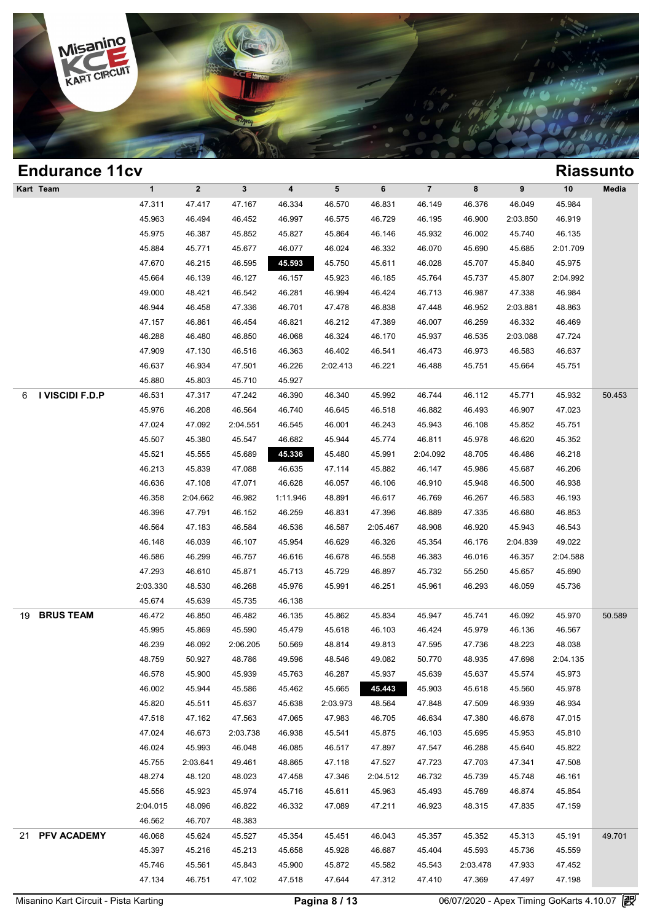

|    | <b>Endurance 11cv</b> |             |             |              |                         |          |          |                |          |          |          | <b>Riassunto</b> |
|----|-----------------------|-------------|-------------|--------------|-------------------------|----------|----------|----------------|----------|----------|----------|------------------|
|    | Kart Team             | $\mathbf 1$ | $\mathbf 2$ | $\mathbf{3}$ | $\overline{\mathbf{4}}$ | 5        | 6        | $\overline{7}$ | 8        | 9        | 10       | Media            |
|    |                       | 47.311      | 47.417      | 47.167       | 46.334                  | 46.570   | 46.831   | 46.149         | 46.376   | 46.049   | 45.984   |                  |
|    |                       | 45.963      | 46.494      | 46.452       | 46.997                  | 46.575   | 46.729   | 46.195         | 46.900   | 2:03.850 | 46.919   |                  |
|    |                       | 45.975      | 46.387      | 45.852       | 45.827                  | 45.864   | 46.146   | 45.932         | 46.002   | 45.740   | 46.135   |                  |
|    |                       | 45.884      | 45.771      | 45.677       | 46.077                  | 46.024   | 46.332   | 46.070         | 45.690   | 45.685   | 2:01.709 |                  |
|    |                       | 47.670      | 46.215      | 46.595       | 45.593                  | 45.750   | 45.611   | 46.028         | 45.707   | 45.840   | 45.975   |                  |
|    |                       | 45.664      | 46.139      | 46.127       | 46.157                  | 45.923   | 46.185   | 45.764         | 45.737   | 45.807   | 2:04.992 |                  |
|    |                       | 49.000      | 48.421      | 46.542       | 46.281                  | 46.994   | 46.424   | 46.713         | 46.987   | 47.338   | 46.984   |                  |
|    |                       | 46.944      | 46.458      | 47.336       | 46.701                  | 47.478   | 46.838   | 47.448         | 46.952   | 2:03.881 | 48.863   |                  |
|    |                       | 47.157      | 46.861      | 46.454       | 46.821                  | 46.212   | 47.389   | 46.007         | 46.259   | 46.332   | 46.469   |                  |
|    |                       | 46.288      | 46.480      | 46.850       | 46.068                  | 46.324   | 46.170   | 45.937         | 46.535   | 2:03.088 | 47.724   |                  |
|    |                       | 47.909      | 47.130      | 46.516       | 46.363                  | 46.402   | 46.541   | 46.473         | 46.973   | 46.583   | 46.637   |                  |
|    |                       | 46.637      | 46.934      | 47.501       | 46.226                  | 2:02.413 | 46.221   | 46.488         | 45.751   | 45.664   | 45.751   |                  |
|    |                       | 45.880      | 45.803      | 45.710       | 45.927                  |          |          |                |          |          |          |                  |
| 6  | I VISCIDI F.D.P       | 46.531      | 47.317      | 47.242       | 46.390                  | 46.340   | 45.992   | 46.744         | 46.112   | 45.771   | 45.932   | 50.453           |
|    |                       | 45.976      | 46.208      | 46.564       | 46.740                  | 46.645   | 46.518   | 46.882         | 46.493   | 46.907   | 47.023   |                  |
|    |                       | 47.024      | 47.092      | 2:04.551     | 46.545                  | 46.001   | 46.243   | 45.943         | 46.108   | 45.852   | 45.751   |                  |
|    |                       | 45.507      | 45.380      | 45.547       | 46.682                  | 45.944   | 45.774   | 46.811         | 45.978   | 46.620   | 45.352   |                  |
|    |                       | 45.521      | 45.555      | 45.689       | 45.336                  | 45.480   | 45.991   | 2:04.092       | 48.705   | 46.486   | 46.218   |                  |
|    |                       | 46.213      | 45.839      | 47.088       | 46.635                  | 47.114   | 45.882   | 46.147         | 45.986   | 45.687   | 46.206   |                  |
|    |                       | 46.636      | 47.108      | 47.071       | 46.628                  | 46.057   | 46.106   | 46.910         | 45.948   | 46.500   | 46.938   |                  |
|    |                       | 46.358      | 2:04.662    | 46.982       | 1:11.946                | 48.891   | 46.617   | 46.769         | 46.267   | 46.583   | 46.193   |                  |
|    |                       | 46.396      | 47.791      | 46.152       | 46.259                  | 46.831   | 47.396   | 46.889         | 47.335   | 46.680   | 46.853   |                  |
|    |                       | 46.564      | 47.183      | 46.584       | 46.536                  | 46.587   | 2:05.467 | 48.908         | 46.920   | 45.943   | 46.543   |                  |
|    |                       | 46.148      | 46.039      | 46.107       | 45.954                  | 46.629   | 46.326   | 45.354         | 46.176   | 2:04.839 | 49.022   |                  |
|    |                       | 46.586      | 46.299      | 46.757       | 46.616                  | 46.678   | 46.558   | 46.383         | 46.016   | 46.357   | 2:04.588 |                  |
|    |                       | 47.293      | 46.610      | 45.871       | 45.713                  | 45.729   | 46.897   | 45.732         | 55.250   | 45.657   | 45.690   |                  |
|    |                       | 2:03.330    | 48.530      | 46.268       | 45.976                  | 45.991   | 46.251   | 45.961         | 46.293   | 46.059   | 45.736   |                  |
|    |                       | 45.674      | 45.639      | 45.735       | 46.138                  |          |          |                |          |          |          |                  |
| 19 | <b>BRUS TEAM</b>      | 46.472      | 46.850      | 46.482       | 46.135                  | 45.862   | 45.834   | 45.947         | 45.741   | 46.092   | 45.970   | 50.589           |
|    |                       | 45.995      | 45.869      | 45.590       | 45.479                  | 45.618   | 46.103   | 46.424         | 45.979   | 46.136   | 46.567   |                  |
|    |                       | 46.239      | 46.092      | 2:06.205     | 50.569                  | 48.814   | 49.813   | 47.595         | 47.736   | 48.223   | 48.038   |                  |
|    |                       | 48.759      | 50.927      | 48.786       | 49.596                  | 48.546   | 49.082   | 50.770         | 48.935   | 47.698   | 2:04.135 |                  |
|    |                       | 46.578      | 45.900      | 45.939       | 45.763                  | 46.287   | 45.937   | 45.639         | 45.637   | 45.574   | 45.973   |                  |
|    |                       | 46.002      | 45.944      | 45.586       | 45.462                  | 45.665   | 45.443   | 45.903         | 45.618   | 45.560   | 45.978   |                  |
|    |                       | 45.820      | 45.511      | 45.637       | 45.638                  | 2:03.973 | 48.564   | 47.848         | 47.509   | 46.939   | 46.934   |                  |
|    |                       | 47.518      | 47.162      | 47.563       | 47.065                  | 47.983   | 46.705   | 46.634         | 47.380   | 46.678   | 47.015   |                  |
|    |                       | 47.024      | 46.673      | 2:03.738     | 46.938                  | 45.541   | 45.875   | 46.103         | 45.695   | 45.953   | 45.810   |                  |
|    |                       | 46.024      | 45.993      | 46.048       | 46.085                  | 46.517   | 47.897   | 47.547         | 46.288   | 45.640   | 45.822   |                  |
|    |                       | 45.755      | 2:03.641    | 49.461       | 48.865                  | 47.118   | 47.527   | 47.723         | 47.703   | 47.341   | 47.508   |                  |
|    |                       | 48.274      | 48.120      | 48.023       | 47.458                  | 47.346   | 2:04.512 | 46.732         | 45.739   | 45.748   | 46.161   |                  |
|    |                       | 45.556      | 45.923      | 45.974       | 45.716                  | 45.611   | 45.963   | 45.493         | 45.769   | 46.874   | 45.854   |                  |
|    |                       | 2:04.015    | 48.096      | 46.822       | 46.332                  | 47.089   | 47.211   | 46.923         | 48.315   | 47.835   | 47.159   |                  |
|    |                       | 46.562      | 46.707      | 48.383       |                         |          |          |                |          |          |          |                  |
| 21 | PFV ACADEMY           | 46.068      | 45.624      | 45.527       | 45.354                  | 45.451   | 46.043   | 45.357         | 45.352   | 45.313   | 45.191   | 49.701           |
|    |                       | 45.397      | 45.216      | 45.213       | 45.658                  | 45.928   | 46.687   | 45.404         | 45.593   | 45.736   | 45.559   |                  |
|    |                       | 45.746      | 45.561      | 45.843       | 45.900                  | 45.872   | 45.582   | 45.543         | 2:03.478 | 47.933   | 47.452   |                  |
|    |                       |             |             |              |                         |          |          |                |          |          |          |                  |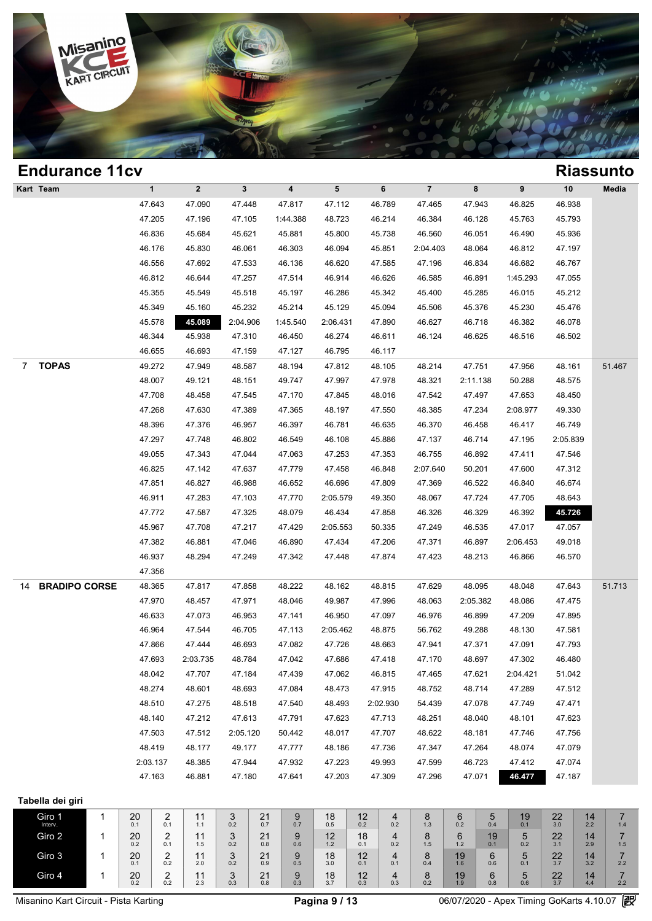

### **Endurance 11cv Riassunto Kart Team 1 2 3 4 5 6 7 8 9 10 Media 1**<br>
47.643 47.090 47.448 47.817 47.112 46.789 47.465 47.943 46.825 46.938<br>
47.205 47.105 47.105 1.44.288 48.722 46.234 46.284 46.284 46.325 46.938 1 2 3 4 5 6 7 8 9 10 Med<br>47.643 47.090 47.448 47.817 47.112 46.789 47.465 47.943 46.825 46.938<br>47.205 47.196 47.105 1:44.388 48.723 46.214 46.384 46.128 45.763 45.793<br>46.826 45.684 45.684 45.684 46.214 46.384 46.128 45.763 1 2 3 4 5 6 7 8 9 10 Med<br>47.643 47.090 47.448 47.817 47.112 46.789 47.465 47.943 46.825 46.938<br>47.205 47.196 47.105 1:44.388 48.723 46.214 46.384 46.128 45.763 45.793<br>46.836 45.684 45.621 45.881 45.800 45.738 46.560 46.051 47.643 47.090 47.448 47.817 47.112 46.789 47.465 47.943 46.825 46.938<br>47.205 47.196 47.105 1:44.388 48.723 46.214 46.384 46.128 45.763 45.793<br>46.836 45.684 45.621 45.881 45.800 45.738 46.560 46.051 46.490 45.936<br>46.176 45.8 47.205 47.196 47.105 1:44.388 48.723 46.214 46.384 46.128 45.763 45.793<br>46.836 45.684 45.621 45.881 45.800 45.738 46.560 46.051 46.490 45.936<br>46.176 45.830 46.061 46.303 46.094 45.851 2:04.403 48.064 46.812 47.197<br>46.556 4 46.836 45.684 45.621 45.881 45.800 45.738 46.560 46.051 46.490 45.936<br>46.176 45.830 46.061 46.303 46.094 45.851 2:04.403 48.064 46.812 47.197<br>46.556 47.692 47.533 46.136 46.620 47.585 47.196 46.834 46.682 46.767<br>46.812 46. 46.176 45.830 46.061 46.303 46.094 45.851 2:04.403 48.064 46.812 47.197<br>46.556 47.692 47.533 46.136 46.620 47.585 47.196 46.834 46.682 46.767<br>46.812 46.644 47.257 47.514 46.914 46.626 46.585 46.891 1:45.293 47.055<br>45.355 4 46.556 47.692 47.533 46.136 46.620 47.585 47.196 46.834 46.682 46.767<br>46.812 46.644 47.257 47.514 46.914 46.626 46.585 46.891 1:45.293 47.055<br>45.355 45.549 45.518 45.197 46.286 45.342 45.400 45.285 46.015 45.212<br>45.349 45.1 46.812 46.644 47.257 47.514 46.914 46.626 46.585 46.891 1:45.293 47.055<br>45.355 45.549 45.518 45.197 46.286 45.342 45.400 45.285 46.015 45.212<br>45.349 45.160 45.232 45.214 45.129 45.094 45.506 45.376 45.355 46.549 45.518 45.197 46.286 45.342 45.400 45.285 46.015 45.212<br>45.349 45.160 45.232 45.214 45.129 45.094 45.506 45.376 45.230 45.476<br>45.578 45.038 2:04.906 1:45.540 2:06.431 47.890 46.627 46.718 46.382 46.078<br>46.344 45.349 45.160 45.232 45.214 45.129 45.094 45.51<br>46.578 45.089 2:04.906 1:45.540 2:06.431 47.890 46.6;<br>46.344 45.938 47.310 46.450 46.274 46.611 46.1;<br>46.655 46.693 47.159 47.127 46.795 46.117 7 **TOPAS** 49.272 47.949 48.587 48.194 47.812 48.105 48.214 47.751 47.956 48.161 51.467 48.344 45.938 47.310 46.450 46.274 46.611 46.124 46.625 46.516 46.502<br>46.655 46.693 47.159 47.127 46.795 46.117<br>49.272 47.949 48.587 48.194 47.812 48.105 48.214 47.751 47.956 48.161 51.4<br>48.007 49.121 48.151 49.747 47.997 46.655 46.693 47.159 47.127 46.795 46.117<br>49.272 47.949 48.587 48.194 47.812 48.105 48.214 47.751 47.956 48.161 51.4<br>48.007 49.121 48.151 49.747 47.997 47.978 48.321 2:11.138 50.288 48.575<br>47.708 48.458 47.545 47.170 47.84 48.272 47.949 48.587 48.194 47.812 48.105 48.214 47.751 47.956 48.161 51.4<br>48.007 49.121 48.151 49.747 47.997 47.978 48.321 2:11.138 50.288 48.575<br>47.708 48.458 47.545 47.170 47.845 48.016 47.542 47.497 47.653 48.450<br>47.26 48.007 49.121 48.151 49.747 47.997 47.978 48.321 2:11.138 50.288 48.575<br>47.708 48.458 47.545 47.170 47.845 48.016 47.542 47.497 47.653 48.450<br>47.268 47.630 47.389 47.365 48.197 47.550 48.385 47.234 2:08.977 49.330<br>48.396 4 47.708 48.458 47.545 47.170 47.845 48.016 47.542 47.497 47.653 48.450<br>47.268 47.630 47.389 47.365 48.197 47.550 48.385 47.234 2:08.977 49.330<br>48.396 47.376 46.957 46.397 46.781 46.635 46.370 46.458 46.417 46.749<br>47.297 47. 47.268 47.630 47.389 47.365 48.197 47.550 48.385 47.234 2:08.977 49.330<br>48.396 47.376 46.957 46.397 46.781 46.635 46.370 46.458 46.417 46.749<br>47.297 47.748 46.802 46.549 46.108 45.886 47.137 46.714 47.195 2:05.839<br>49.055 4 46.396 47.376 46.957 46.397 46.781 46.635 46.370 46.458 46.417 46.749<br>47.297 47.748 46.802 46.549 46.108 45.886 47.137 46.714 47.195 2:05.839<br>49.055 47.343 47.044 47.063 47.253 47.353 46.755 46.892 47.411 47.546<br>46.825 47. 47.297 47.748 46.802 46.549 46.108 45.886 47.137 46.714 47.195 2:05.839<br>49.055 47.343 47.044 47.063 47.253 47.353 46.755 46.892 47.411 47.546<br>46.825 47.142 47.637 47.779 47.458 46.848 2:07.640 50.201 47.600 47.312<br>47.851 4 46.825 47.343 47.044 47.063 47.253 47.353 46.755 46.892 47.411 47.546<br>46.825 47.142 47.637 47.779 47.458 46.848 2:07.640 50.201 47.600 47.312<br>47.851 46.827 46.988 46.652 46.696 47.809 47.369 46.522 46.840 46.674<br>46.911 47. 46.825 47.142 47.637 47.779 47.458 46.848 2:07.640 50.201 47.600 47.312<br>47.851 46.827 46.988 46.652 46.696 47.809 47.369 46.522 46.840 46.674<br>46.911 47.283 47.103 47.770 2:05.579 49.350 48.067 47.724 47.705 48.643<br>47.772 4 46.911 46.827 46.988 46.652 46.696 47.809 47.369 46.522 46.840 46.674<br>46.911 47.283 47.103 47.770 2:05.579 49.350 48.067 47.724 47.705 48.643<br>47.772 47.587 47.325 48.079 46.434 47.858 46.326 46.329 46.392 45.724<br>45.967 47. 46.911 47.283 47.103 47.770 2:05.579 49.350 48.067 47.724 47.705 48.643<br>47.772 47.587 47.325 48.079 46.434 47.858 46.326 46.329 46.392 45.726<br>45.967 47.708 47.217 47.429 2:05.553 50.335 47.249 46.535 47.017 47.057<br>47.382 4 47.772 47.587 47.325 48.079 46.434 47.858 46.326 46.329 46.392 45.726<br>45.967 47.708 47.217 47.429 2:05.553 50.335 47.249 46.535 47.017 47.057<br>47.382 46.881 47.046 46.890 47.434 47.206 47.371 46.897 2:06.453 49.018<br>46.937 4 47.356 14 **BRADIPO CORSE** 48.365 47.817 47.858 48.222 48.162 48.815 47.629 48.095 48.048 47.643 51.713 46.937 48.294 47.249 47.342 47.448 47.874 47.423 48.213 46.866 46.570<br>47.356 47.817 47.858 48.222 48.162 48.815 47.629 48.095 48.048 47.643 51.7<br>47.970 48.457 47.971 48.046 49.987 47.996 48.063 2:05.382 48.086 47.475<br>46.63 47.356<br>48.365 47.817 47.858 48.222 48.162 48.815 47.629 48.095 48.048 47.643 51.7<br>47.970 48.457 47.971 48.046 49.987 47.996 48.063 2:05.382 48.086 47.475<br>46.633 47.073 46.953 47.141 46.950 47.097 46.976 46.899 47.209 47.89 46.365 47.817 47.858 48.222 48.162 48.815 47.629 48.095 48.048 47.643 51.7<br>47.970 48.457 47.971 48.046 49.987 47.996 48.063 2:05.382 48.086 47.475<br>46.633 47.073 46.953 47.141 46.950 47.097 46.976 46.899 47.209 47.895<br>46.96 47.970 48.457 47.971 48.046 49.987 47.996 48.063 2:05.382 48.086 47.475<br>46.633 47.073 46.953 47.141 46.950 47.097 46.976 46.899 47.209 47.895<br>46.964 47.544 46.693 47.113 2:05.462 48.875 56.762 49.288 48.130 47.581<br>47.866 4 46.633 47.073 46.953 47.141 46.950 47.097 46.976 46.899 47.209 47.895<br>46.964 47.544 46.705 47.113 2:05.462 48.875 56.762 49.288 48.130 47.581<br>47.866 47.444 46.693 47.082 47.726 48.663 47.941 47.371 47.091 47.793<br>47.693 2:0 48.964 47.544 46.705 47.113 2:05.462 48.875 56.762 49.288 48.130 47.581<br>47.866 47.444 46.693 47.082 47.726 48.663 47.941 47.371 47.091 47.793<br>47.693 2:03.735 48.784 47.042 47.686 47.418 47.170 48.697 47.302 46.480<br>48.042 4 47.866 47.444 46.693 47.082 47.726 48.663 47.941 47.371 47.091 47.793<br>47.693 2:03.735 48.784 47.042 47.686 47.418 47.170 48.697 47.302 46.480<br>48.042 47.707 47.184 47.439 47.062 46.815 47.465 47.621 2:04.421 51.042<br>48.274 4 47.693 2:03.735 48.784 47.042 47.686 47.418 47.170 48.697 47.302 46.480<br>48.042 47.707 47.184 47.439 47.062 46.815 47.465 47.621 2:04.421 51.042<br>48.274 48.601 48.693 47.084 48.473 47.915 48.752 48.714 47.289 47.512<br>48.510 4 48.042 47.707 47.184 47.439 47.062 46.815 47.465 47.621 2:04.421 51.042<br>48.274 48.601 48.693 47.084 48.473 47.915 48.752 48.714 47.289 47.512<br>48.510 47.275 48.518 47.540 48.493 2:02.930 54.439 47.078 47.749 47.471<br>48.140 4 48.274 48.601 48.693 47.084 48.473 47.915 48.752 48.714 47.289 47.512<br>48.510 47.275 48.518 47.540 48.493 2:02.930 54.439 47.078 47.749 47.471<br>48.140 47.212 47.613 47.791 47.623 47.713 48.251 48.040 48.101 47.623<br>47.503 47. 48.510 47.275 48.518 47.540 48.493 2:02.930 54.439 47.078 47.749 47.471<br>48.140 47.212 47.613 47.791 47.623 47.713 48.251 48.040 48.101 47.623<br>47.503 47.512 2:05.120 50.442 48.017 47.707 48.622 48.181 47.746 47.756<br>48.419 4 48.140 47.212 47.613 47.791 47.623 47.713 48.251 48.040 48.101 47.623<br>47.503 47.512 2:05.120 50.442 48.017 47.707 48.622 48.181 47.746 47.756<br>48.419 48.177 49.177 47.777 48.186 47.736 47.347 47.264 48.074 47.079<br>2:03.137 4 47.503 47.512 2:05.120 50.442 48.017 47.707 48.622 48.181 47.746 47.756<br>48.419 48.177 49.177 47.777 48.186 47.736 47.347 47.264 48.074 47.079<br>1:03.137 48.385 47.944 47.932 47.223 49.993 47.599 46.723 47.412 47.074<br>47.163 4 **Tabella dei giri** Giro 1  $1 \t 20 \t 2 \t 1 \t 0.1$  $\begin{array}{c|c|c|c|c} \textbf{2} & \textbf{1} & \textbf{3} \\ \textbf{0.1} & \textbf{0.1} & \textbf{1.1} & \textbf{0.2} \end{array}$  $\begin{array}{c|c|c|c|c} \textbf{11} & \textbf{3} & \textbf{21} & \textbf{9} \\ \textbf{1.1} & \textbf{0.2} & \textbf{0.7} & \textbf{0.7} \end{array}$  $\begin{array}{c|c} 9 & 18 \\ 0.7 & 0.5 \end{array}$  $\begin{array}{c|c|c|c|c} 9 & 18 & 12 & 4 \ 0.5 & 0.2 & 0.2 \end{array}$  $\begin{array}{c|c|c|c|c} \textbf{12} & \textbf{4} & \textbf{8} & \textbf{6} \\ \textbf{0.2} & \textbf{0.2} & \textbf{1.3} & \textbf{0.2} \end{array}$  $\begin{array}{c|c} 6 & 5 \\ 0.2 & 0.4 \end{array}$  $19$ <sub>0.1</sub>  $\begin{array}{|c|c|c|c|c|}\n 5 & 19 & 22 & 14 \\
 \hline\n 0.4 & 0.1 & 3.0 & 2.2\n \end{array}$  $14 \over 2.2$  $\begin{array}{c|c} 14 & 7 \\ 2.2 & 1.4 \end{array}$ Giro 2  $1 \begin{array}{|c|c|c|} \hline 1 & 20 & 2 \\ 0.2 & 0.1 & \hline \end{array}$  $\begin{array}{c|c|c|c|c} \textbf{2} & \textbf{2} & \textbf{11} & \textbf{3} \\ \textbf{0.2} & \textbf{0.1} & \textbf{1.5} & \textbf{0.2} \end{array}$  $\begin{array}{c|c|c|c|c} \textbf{11} & \textbf{3} & \textbf{21} & \textbf{9} \\ \textbf{1.5} & \textbf{0.2} & \textbf{0.8} & \textbf{0.6} \end{array}$  $\begin{array}{c|c} 9 & 12 \\ 0.6 & 1.2 \end{array}$  $\begin{array}{c|c|c|c|c} 9 & 12 & 18 & 4 \\ 0.6 & 1.2 & 0.1 & 0.2 \end{array}$  $\begin{array}{|c|c|c|c|c|}\n 18 & 4 & 8 & 6 \\
 \hline\n 0.1 & 0.2 & 1.5 & 1.2\n \end{array}$ 8 6 19 5<br>1.5 1.2 0.1 0.2  $\begin{array}{|c|c|c|c|c|}\n 19 & 5 & 22 & 14 \\
 \hline\n 0.1 & 0.2 & 3.1 & 2.9\n \end{array}$  $\begin{array}{c|c|c|c}\n 22 & 14 & 7 \\
 \hline\n 3.1 & 2.9 & 1.5\n \end{array}$  $\frac{7}{1.5}$ Giro 3 1  $\begin{array}{|c|c|c|c|}\n\hline\n1 & 20 & 2 \\
0.1 & 0.2 & \n\end{array}$  $\begin{array}{c|c|c|c|c} 20 & 2 & 11 & 3 \ 0.1 & 0.2 & 2.0 & 0.2 \end{array}$  $\begin{array}{c|c|c|c|c} 11 & 3 & 21 & 9 \ 2.0 & 0.2 & 0.9 & 0.5 \end{array}$  $\begin{array}{c|c} 9 & 18 \\ 0.5 & 3.0 \end{array}$  $\begin{array}{c|c|c|c|c} 9 & 18 & 12 & 4 \ 0.5 & 3.0 & 0.1 & 0.1 \end{array}$  $\begin{array}{c|c} 4 & 8 \\ 0.1 & 0.4 \end{array}$ **4** 8 19 6<br>0.1 0.4 1.6 0.6  $\begin{array}{c|c} 6 & 5 \\ 0.6 & 0.1 \end{array}$  $\begin{array}{|c|c|c|c|c|}\n6 & 5 & 22 & 14 \\
\hline\n0.6 & 0.1 & 3.7 & 3.2\n\end{array}$  $14 \over 3.2$  $\begin{array}{c|c} 14 & 7 \\ 3.2 & 2.2 \end{array}$ Giro 4 1  $\begin{array}{|c|c|c|c|c|} \hline 1 & 20 & 2 & 2 \ \hline 0 & 0 & 0 & 0 & 0 \ \hline \end{array}$  $\begin{array}{c|c|c|c|c} \textbf{2} & \textbf{2} & \textbf{11} & \textbf{3} \\ \textbf{0.2} & \textbf{0.2} & \textbf{2.3} & \textbf{0.3} \end{array}$  $\begin{array}{c|c|c|c|c} \textbf{11} & \textbf{3} & \textbf{21} & \textbf{9} \\ \textbf{2.3} & \textbf{0.3} & \textbf{0.8} & \textbf{0.3} \end{array}$  $\begin{array}{|c|c|c|c|}\n\hline\n9 & 18 \\
\hline\n9 & 37\n\end{array}$  $\begin{array}{c|c|c|c|c} 9 & 18 & 12 & 4 \\ 0.3 & 3.7 & 0.3 & 0.3 \end{array}$  $\begin{array}{c|c} 4 & 8 \\ 0.3 & 0.2 \end{array}$  $\begin{array}{c|c|c|c|c|c} 4 & 8 & 19 & 6 \\ 0.3 & 0.2 & 1.9 & 0.8 \end{array}$  $\begin{array}{c|c} 6 & 5 \\ 0.8 & 0.6 \end{array}$  $\begin{array}{c|c|c|c|c|c} 6 & 5 & 22 & 14 \\ 0.8 & 0.6 & 3.7 & 4.4 \end{array}$  $\begin{array}{c|c} 22 & 14 & 7 \\ 3.7 & 4.4 & 2.2 \end{array}$  $\frac{7}{22}$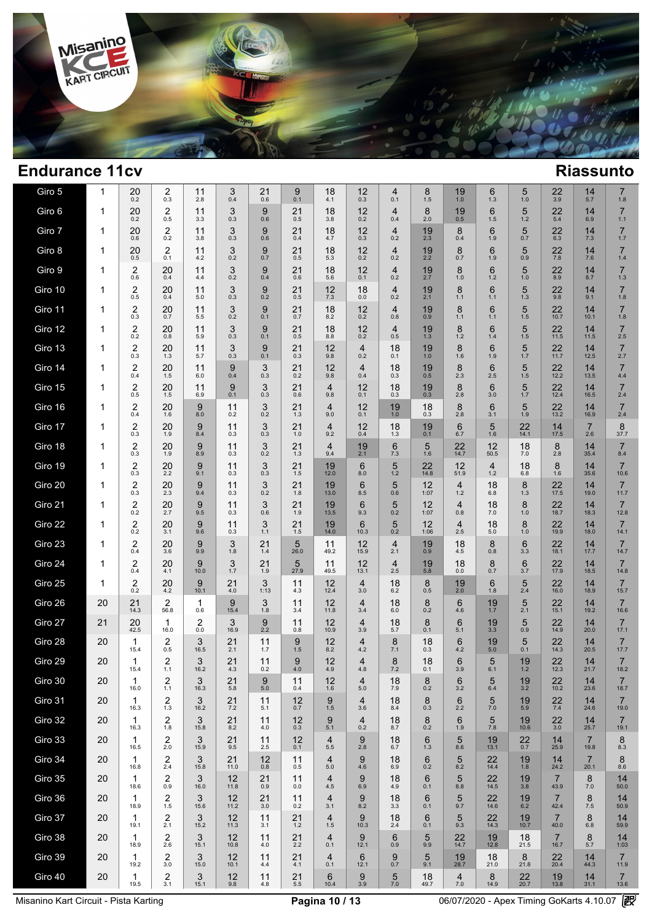

| Giro 5  | $\mathbf 1$  | 20<br>0.2                      | 2<br>0.3                       | 11<br>2.8 | 3<br>0.4   | 21<br>0.6     | 9<br>0.1  | 18<br>4.1                 | 12<br>0.3             | 4<br>0.1              | 8<br>1.5   | 19<br>1.0                 | 6<br>1.3              | 5<br>1.0    | 22<br>3.9              | 14<br>5.7              | $\overline{7}$<br>1.8  |
|---------|--------------|--------------------------------|--------------------------------|-----------|------------|---------------|-----------|---------------------------|-----------------------|-----------------------|------------|---------------------------|-----------------------|-------------|------------------------|------------------------|------------------------|
| Giro 6  | $\mathbf{1}$ | 20<br>0.2                      | 2<br>0.5                       | 11<br>3.3 | 3<br>0.3   | 9<br>0.6      | 21<br>0.5 | 18<br>3.8                 | 12<br>0.2             | $\overline{4}$<br>0.4 | 8<br>2.0   | 19<br>0.5                 | 6<br>1.5              | 5<br>1.2    | 22<br>5.4              | 14<br>6.9              | $\overline{7}$<br>1.1  |
| Giro 7  | $\mathbf{1}$ | 20<br>0.6                      | 2<br>0.2                       | 11<br>3.8 | 3<br>0.3   | 9<br>0.6      | 21<br>0.4 | 18<br>4.7                 | 12<br>0.3             | $\overline{4}$<br>0.2 | 19<br>2.3  | 8<br>0.4                  | 6<br>1.9              | 5<br>0.7    | 22<br>6.3              | 14<br>7.3              | $\overline{7}$<br>1.7  |
| Giro 8  | $\mathbf{1}$ | 20<br>0.5                      | 2<br>0.1                       | 11<br>4.2 | 3<br>0.2   | 9<br>0.7      | 21<br>0.5 | 18<br>5.3                 | 12<br>0.2             | $\overline{4}$<br>0.2 | 19<br>2.2  | 8<br>0.7                  | 6<br>1.9              | 5<br>0.9    | 22<br>7.8              | 14<br>7.6              | $\overline{7}$<br>1.4  |
| Giro 9  | $\mathbf{1}$ | 2<br>0.6                       | 20<br>0.4                      | 11<br>4.4 | 3<br>0.2   | 9<br>0.4      | 21<br>0.6 | 18<br>5.6                 | 12<br>0.1             | $\overline{4}$<br>0.2 | 19<br>2.7  | 8<br>1.0                  | 6<br>1.2              | 5<br>1.0    | 22<br>8.9              | 14<br>8.7              | $\overline{7}$<br>1.3  |
| Giro 10 | 1            | $\overline{2}$<br>0.5          | 20<br>0.4                      | 11<br>5.0 | 3<br>0.3   | 9<br>0.2      | 21<br>0.5 | 12<br>7.3                 | 18<br>0.0             | $\overline{4}$<br>0.2 | 19<br>2.1  | 8<br>1.1                  | 6<br>1.1              | 5<br>1.3    | 22<br>9.8              | 14<br>9.1              | $\overline{7}$<br>1.8  |
| Giro 11 | 1            | $\overline{\mathbf{c}}$<br>0.3 | 20<br>0.7                      | 11<br>5.5 | 3<br>0.2   | 9<br>0.1      | 21<br>0.7 | 18<br>8.2                 | 12<br>0.2             | $\overline{4}$<br>0.8 | 19<br>0.9  | 8<br>1.1                  | 6<br>1.1              | 5<br>1.5    | 22<br>10.7             | 14<br>10.1             | $\overline{7}$<br>1.8  |
| Giro 12 | 1            | $^{2}_{0.2}$                   | 20<br>0.8                      | 11<br>5.9 | 3<br>0.3   | 9<br>0.1      | 21<br>0.5 | 18<br>8.8                 | 12<br>0.2             | $\overline{4}$<br>0.5 | 19<br>1.3  | 8<br>1.2                  | 6<br>1.4              | 5<br>1.5    | 22<br>11.5             | 14<br>11.5             | $\overline{7}$<br>2.5  |
| Giro 13 | 1            | $\overline{\mathbf{c}}$<br>0.3 | 20<br>1.3                      | 11<br>5.7 | 3<br>0.3   | 9<br>0.1      | 21<br>0.3 | 12<br>9.8                 | 4<br>0.2              | 18<br>0.1             | 19<br>1.0  | 8<br>1.6                  | 6<br>1.9              | 5<br>1.7    | $22$<br>11.7           | 14<br>12.5             | $\overline{7}$<br>2.7  |
| Giro 14 | 1            | $\overline{2}$<br>0.4          | 20<br>1.5                      | 11<br>6.0 | 9<br>0.4   | 3<br>0.3      | 21<br>0.2 | 12<br>9.8                 | $\overline{4}$<br>0.4 | 18<br>0.3             | 19<br>0.5  | 8<br>2.3                  | 6<br>2.5              | 5<br>1.5    | $22$<br>12.2           | 14<br>13.5             | $\overline{7}$<br>4.4  |
| Giro 15 | 1            | $\overline{2}$<br>0.5          | 20<br>1.5                      | 11<br>6.9 | 9<br>0.1   | 3<br>0.3      | 21<br>0.6 | $\overline{4}$<br>9.8     | 12<br>0.1             | 18<br>0.3             | 19<br>0.3  | 8<br>2.8                  | 6<br>3.0              | 5<br>1.7    | 22<br>12.4             | 14<br>16.5             | $\overline{7}$<br>2.4  |
| Giro 16 | 1            | $\overline{2}$<br>0.4          | 20<br>1.6                      | 9<br>8.0  | 11<br>0.2  | 3<br>0.2      | 21<br>1.3 | 4<br>9.0                  | 12<br>0.1             | 19<br>1.0             | 18<br>0.3  | 8<br>2.8                  | 6<br>3.1              | 5<br>1.9    | 22<br>13.2             | 14<br>16.9             | $\overline{7}$<br>2.4  |
| Giro 17 | 1            | $\overline{2}$<br>0.3          | 20<br>1.9                      | 9<br>8.4  | 11<br>0.3  | 3<br>0.3      | 21<br>1.0 | $\overline{4}$<br>9.2     | 12<br>0.4             | 18<br>1.3             | 19<br>0.1  | 6<br>6.7                  | 5<br>1.6              | 22<br>14.1  | $14 \over 17.5$        | $\overline{7}$<br>2.6  | 8<br>37.7              |
| Giro 18 | 1            | $\overline{2}$<br>0.3          | 20<br>1.9                      | 9<br>8.9  | 11<br>0.3  | 3<br>0.2      | 21<br>1.3 | $\overline{4}$<br>9.4     | 19<br>2.1             | 6<br>7.3              | 5<br>1.6   | 22<br>14.7                | 12<br>50.5            | 18<br>$7.0$ | 8<br>2.8               | 14<br>35.4             | $\overline{7}$<br>8.4  |
| Giro 19 | $\mathbf{1}$ | 2<br>0.3                       | 20<br>2.2                      | 9<br>9.1  | 11<br>0.3  | 3<br>0.3      | 21<br>1.5 | 19<br>12.0                | 6<br>8.0              | 5<br>1.2              | 22<br>14.8 | 12<br>51.9                | $\overline{4}$<br>1.2 | 18<br>6.8   | 8<br>1.6               | 14<br>35.6             | $\overline{7}$<br>10.6 |
| Giro 20 | $\mathbf{1}$ | $\overline{\mathbf{c}}$<br>0.3 | 20<br>2.3                      | 9<br>9.4  | 11<br>0.3  | 3<br>0.2      | 21<br>1.8 | 19<br>13.0                | 6<br>8.5              | 5<br>0.6              | 12<br>1:07 | $\overline{4}$<br>1.2     | 18<br>6.8             | 8<br>1.3    | 22<br>17.5             | 14<br>19.0             | $\overline{7}$<br>11.7 |
| Giro 21 | $\mathbf{1}$ | $\overline{\mathbf{c}}$<br>0.2 | 20<br>2.7                      | 9<br>9.5  | 11<br>0.3  | 3<br>0.6      | 21<br>1.9 | 19<br>13.5                | 6<br>9.3              | 5<br>0.2              | 12<br>1:07 | $\overline{4}$<br>0.8     | 18<br>7.0             | 8<br>1.0    | 22<br>18.7             | 14<br>18.3             | $\overline{7}$<br>12.8 |
| Giro 22 | 1            | 2<br>0.2                       | 20<br>3.1                      | 9<br>9.6  | 11<br>0.3  | 3<br>1.1      | 21<br>1.5 | 19<br>14.0                | 6<br>10.3             | 5<br>0.2              | 12<br>1:06 | $\overline{4}$<br>2.5     | 18<br>5.0             | 8<br>1.0    | 22<br>19.9             | 14<br>18.0             | $\overline{7}$<br>14.1 |
| Giro 23 | 1            | 2<br>0.4                       | 20<br>3.6                      | 9<br>9.9  | 3<br>1.8   | 21<br>1.4     | 5<br>26.0 | 11<br>49.2                | 12<br>15.9            | $\overline{4}$<br>2.1 | 19<br>0.9  | 18<br>4.5                 | 8<br>0.8              | 6<br>3.3    | 22<br>18.1             | 14<br>17.7             | $\overline{7}$<br>14.7 |
| Giro 24 | 1            | 2<br>0.4                       | 20<br>4.1                      | 9<br>10.0 | 3<br>1.7   | 21<br>1.9     | 5<br>27.9 | 11<br>49.5                | 12<br>13.1            | $\overline{4}$<br>2.5 | 19<br>5.8  | 18<br>0.0                 | 8<br>0.7              | 6<br>3.7    | 22<br>17.9             | 14<br>18.5             | $\overline{7}$<br>14.8 |
| Giro 25 | 1            | $\overline{2}$<br>0.2          | 20<br>4.2                      | 9<br>10.1 | 21<br>4.0  | 3<br>1:13     | 11<br>4.3 | 12<br>12.4                | $\overline{4}$<br>3.0 | 18<br>6.2             | 8<br>0.5   | 19<br>2.0                 | 6<br>1.8              | 5<br>2.4    | 22<br>16.0             | 14<br>18.9             | $\overline{7}$<br>15.7 |
| Giro 26 | 20           | 21<br>14.3                     | $\overline{2}$<br>56.8         | 1<br>0.6  | 9<br>15.4  | 3<br>1.8      | 11<br>3.4 | 12<br>11.8                | $\overline{4}$<br>3.4 | 18<br>6.0             | 8<br>0.2   | 6<br>4.6                  | 19<br>1.7             | 5<br>2.1    | 22<br>15.1             | 14<br>19.2             | $\overline{7}$<br>16.6 |
| Giro 27 | 21           | 20<br>42.5                     | $\mathbf{1}$<br>16.0           | 2<br>0.0  | 3<br>16.9  | 9<br>2.2      | 11<br>0.8 | 12<br>10.9                | $\overline{4}$<br>3.9 | 18<br>5.7             | 8<br>0.1   | 6<br>5.1                  | 19<br>3.3             | 5<br>0.9    | 22<br>14.9             | 14<br>20.0             | $\overline{7}$<br>17.1 |
| Giro 28 | 20           | $\mathbf 1$<br>15.4            | $\overline{2}$<br>0.5          | 3<br>16.5 | 21<br>2.1  | 11<br>1.7     | 9<br>1.5  | 12<br>8.2                 | 4<br>4.2              | 8<br>7.1              | 18<br>0.3  | 6<br>4.2                  | 19<br>5.0             | 5<br>0.1    | 22<br>14.3             | 14<br>20.5             | $\overline{7}$<br>17.7 |
| Giro 29 | 20           | $\mathbf 1$<br>15.4            | $\overline{2}$<br>1.1          | 3<br>16.2 | 21<br>4.3  | 11<br>0.2     | 9<br>4.0  | 12<br>4.9                 | 4<br>4.8              | 8<br>7.2              | 18<br>0.1  | 6<br>3.9                  | 5<br>6.1              | 19<br>1.2   | 22<br>12.3             | 14<br>21.7             | $\overline{7}$<br>18.2 |
| Giro 30 | 20           | 1<br>16.0                      | $\overline{\mathbf{c}}$<br>1.1 | 3<br>16.3 | 21<br>5.8  | 9<br>$5.0\,$  | 11<br>0.4 | 12<br>1.6                 | 4<br>$5.0$            | 18<br>7.9             | 8<br>0.2   | 6<br>3.2                  | 5<br>6.4              | $19_{3.2}$  | 22<br>10.2             | 14<br>23.6             | 7<br>18.7              |
| Giro 31 | 20           | 1<br>16.3                      | $\frac{2}{1.3}$                | 3<br>16.2 | 21<br>7.2  | 11<br>5.1     | 12<br>0.7 | 9<br>1.5                  | $\overline{4}$<br>3.6 | 18<br>8.4             | 8<br>0.3   | 6<br>2.2                  | 5<br>$7.0$            | 19<br>5.9   | $\frac{22}{7.4}$       | 14<br>24.6             | $\overline{7}$<br>19.0 |
| Giro 32 | 20           | 1<br>16.3                      | 2<br>1.8                       | 3<br>15.8 | 21<br>8.2  | 11<br>4.0     | 12<br>0.3 | 9<br>5.1                  | $\overline{4}$<br>0.2 | 18<br>8.7             | 8<br>0.2   | 6<br>1.9                  | 5<br>7.8              | 19<br>10.6  | 22<br>3.0              | 14<br>25.7             | $\overline{7}$<br>19.1 |
| Giro 33 | 20           | 1<br>16.5                      | 2<br>2.0                       | 3<br>15.9 | 21<br>9.5  | 11<br>2.5     | 12<br>0.1 | $\overline{4}$<br>$5.5\,$ | 9<br>$2.8$            | 18<br>6.7             | 6<br>1.3   | 5<br>8.6                  | 19<br>13.1            | $22$<br>0.7 | 14<br>25.9             | $\overline{7}$<br>19.8 | 8<br>8.3               |
| Giro 34 | 20           | 1<br>16.8                      | $\overline{2}$<br>2.4          | 3<br>15.8 | 21<br>11.0 | 12<br>$0.8\,$ | 11<br>0.5 | $\overline{4}$<br>5.0     | 9<br>4.6              | 18<br>6.9             | 6<br>0.2   | 5<br>8.2                  | 22<br>14.4            | 19<br>1.8   | 14<br>24.2             | $\overline{7}$<br>20.1 | 8<br>8.6               |
| Giro 35 | 20           | 1<br>18.6                      | 2<br>0.9                       | 3<br>16.0 | 12<br>11.8 | 21<br>0.9     | 11<br>0.0 | $\overline{4}$<br>4.5     | 9<br>6.9              | 18<br>4.9             | 6<br>0.1   | 5<br>8.8                  | 22<br>14.5            | 19<br>3.8   | $\overline{7}$<br>43.9 | 8<br>$7.0$             | 14<br>50.0             |
| Giro 36 | 20           | $\mathbf{1}$<br>18.9           | 2<br>1.5                       | 3<br>15.6 | 12<br>11.2 | 21<br>3.0     | 11<br>0.2 | $\overline{4}$<br>3.1     | 9<br>8.2              | 18<br>3.3             | 6<br>0.1   | 5<br>9.7                  | 22<br>14.6            | 19<br>6.2   | $\overline{7}$<br>42.4 | 8<br>$7.5$             | 14<br>50.9             |
| Giro 37 | 20           | $\mathbf{1}$<br>19.1           | 2<br>2.1                       | 3<br>15.2 | 12<br>11.3 | 11<br>3.1     | 21<br>1.2 | 4<br>1.5                  | 9<br>10.3             | 18<br>2.4             | 6<br>0.1   | 5<br>9.3                  | 22<br>14.3            | 19<br>10.7  | $\overline{7}$<br>40.0 | 8<br>$6.8\,$           | 14<br>59.9             |
| Giro 38 | 20           | $\mathbf{1}$<br>18.9           | 2<br>2.6                       | 3<br>15.1 | 12<br>10.8 | 11<br>4.0     | 21<br>2.2 | $\overline{4}$<br>0.1     | 9<br>12.1             | 6<br>0.9              | 5<br>9.9   | 22<br>14.7                | 19<br>12.8            | 18<br>21.5  | $\overline{7}$<br>16.7 | 8<br>$5.7\,$           | 14<br>1:03             |
| Giro 39 | 20           | 1<br>19.2                      | 2<br>3.0                       | 3<br>15.0 | 12<br>10.1 | 11<br>4.4     | 21<br>4.1 | $\overline{4}$<br>0.1     | 6<br>12.1             | 9<br>0.7              | 5<br>9.1   | 19<br>28.7                | 18<br>21.0            | 8<br>21.8   | 22<br>20.4             | 14<br>44.3             | $\overline{7}$<br>11.9 |
| Giro 40 | 20           | 1<br>19.5                      | $\overline{\mathbf{c}}$<br>3.1 | 3<br>15.1 | 12<br>9.8  | 11<br>4.8     | 21<br>5.5 | 6<br>10.4                 | 9<br>3.9              | 5<br>7.0              | 18<br>49.7 | $\overline{4}$<br>$7.0\,$ | 8<br>14.9             | 22<br>20.7  | 19<br>13.8             | 14<br>31.1             | $\overline{7}$<br>13.6 |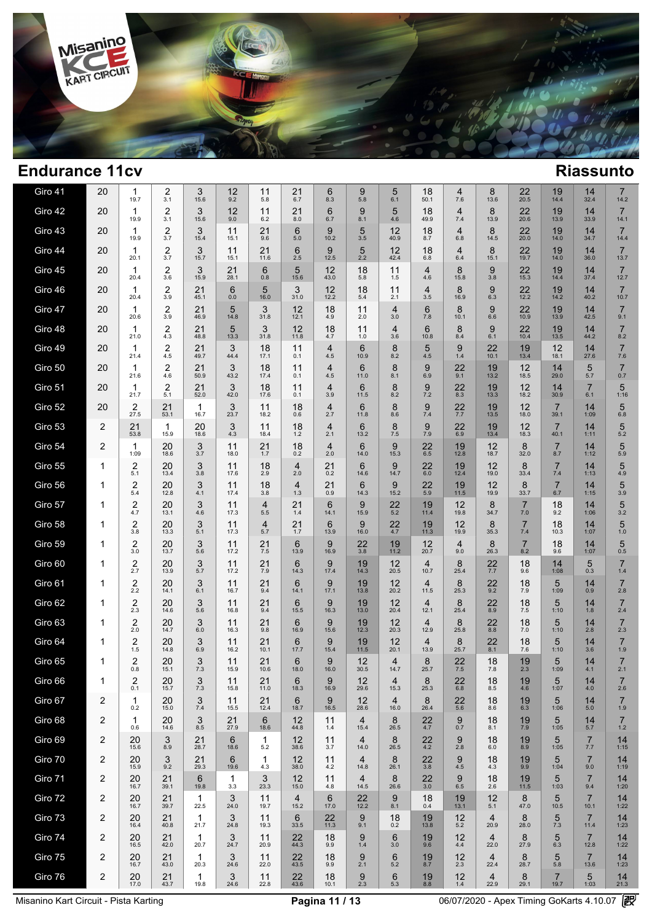

| Giro 41 | 20 | 1<br>19.7           | 2<br>3.1                       | 3<br>15.6  | 12<br>9.2  | 11<br>5.8             | 21<br>6.7               | 6<br>8.3                       | 9<br>5.8               | 5<br>6.1               | 18<br>50.1             | $\overline{4}$<br>7.6 | 8<br>13.6              | $22$<br>$20.5$        | 19<br>14.4             | 14<br>32.4             | $\overline{7}$<br>14.2  |  |
|---------|----|---------------------|--------------------------------|------------|------------|-----------------------|-------------------------|--------------------------------|------------------------|------------------------|------------------------|-----------------------|------------------------|-----------------------|------------------------|------------------------|-------------------------|--|
| Giro 42 | 20 | 1<br>19.9           | $\overline{2}$<br>3.1          | 3<br>15.6  | 12<br>9.0  | 11<br>6.2             | 21<br>8.0               | 6<br>6.7                       | 9<br>8.1               | 5<br>4.6               | 18<br>49.9             | $\overline{4}$<br>7.4 | 8<br>13.9              | 22<br>20.6            | 19<br>13.9             | 14<br>33.9             | $\overline{7}$<br>14.1  |  |
| Giro 43 | 20 | 1<br>19.9           | $\overline{2}$<br>3.7          | 3<br>15.4  | 11<br>15.1 | 21<br>9.6             | 6<br>5.0                | 9<br>10.2                      | 5<br>3.5               | 12<br>40.9             | 18<br>8.7              | $\overline{4}$<br>6.8 | 8<br>14.5              | 22<br>20.0            | 19<br>14.0             | 14<br>34.7             | $\overline{7}$<br>14.4  |  |
| Giro 44 | 20 | 1<br>20.1           | $\overline{2}$<br>3.7          | 3<br>15.7  | 11<br>15.1 | 21<br>11.6            | 6<br>2.5                | 9<br>12.5                      | 5<br>2.2               | 12<br>42.4             | 18<br>6.8              | $\overline{4}$<br>6.4 | 8<br>15.1              | 22<br>19.7            | 19<br>14.0             | 14<br>36.0             | $\overline{7}$<br>13.7  |  |
| Giro 45 | 20 | 1<br>20.4           | $\overline{2}$<br>3.6          | 3<br>15.9  | 21<br>28.1 | 6<br>0.8              | 5<br>15.6               | 12<br>43.0                     | 18<br>5.8              | 11<br>1.5              | 4<br>4.6               | 8<br>15.8             | 9<br>3.8               | 22<br>15.3            | 19<br>14.4             | 14<br>37.4             | $\overline{7}$<br>12.7  |  |
| Giro 46 | 20 | 1<br>20.4           | $\overline{2}$<br>3.9          | 21<br>45.1 | 6<br>0.0   | 5<br>16.0             | 3<br>31.0               | 12<br>12.2                     | 18<br>5.4              | 11<br>2.1              | 4<br>3.5               | 8<br>16.9             | 9<br>6.3               | 22<br>12.2            | 19<br>14.2             | 14<br>40.2             | $\overline{7}$<br>10.7  |  |
| Giro 47 | 20 | 1<br>20.6           | $\overline{\mathbf{c}}$<br>3.9 | 21<br>46.9 | 5<br>14.8  | 3<br>31.8             | 12<br>12.1              | 18<br>4.9                      | 11<br>2.0              | $\overline{4}$<br>3.0  | 6<br>7.8               | 8<br>10.1             | 9<br>6.6               | 22<br>10.9            | 19<br>13.9             | 14<br>42.5             | $\overline{7}$<br>9.1   |  |
| Giro 48 | 20 | 1<br>21.0           | 2<br>4.3                       | 21<br>48.8 | 5<br>13.3  | 3<br>31.8             | 12<br>11.8              | 18<br>4.7                      | 11<br>1.0              | $\overline{4}$<br>3.6  | 6<br>10.8              | 8<br>8.4              | 9<br>6.1               | 22<br>10.4            | 19<br>13.5             | 14<br>44.2             | $\overline{7}$<br>8.2   |  |
| Giro 49 | 20 | 1<br>21.4           | 2<br>4.5                       | 21<br>49.7 | 3<br>44.4  | 18<br>17.1            | 11<br>0.1               | 4<br>4.5                       | 6<br>10.9              | 8<br>8.2               | 5<br>4.5               | 9<br>1.4              | 22<br>10.1             | 19<br>13.4            | 12<br>18.1             | 14<br>27.6             | $\overline{7}$<br>7.6   |  |
| Giro 50 | 20 | 1<br>21.6           | 2<br>4.6                       | 21<br>50.9 | 3<br>43.2  | 18<br>17.4            | 11<br>0.1               | 4<br>4.5                       | 6<br>11.0              | 8<br>8.1               | 9<br>6.9               | 22<br>9.1             | 19<br>13.2             | 12<br>18.5            | 14<br>29.0             | 5<br>5.7               | $\overline{7}$<br>0.7   |  |
| Giro 51 | 20 | $\mathbf 1$<br>21.7 | 2<br>5.1                       | 21<br>52.0 | 3<br>42.0  | 18<br>17.6            | 11<br>0.1               | $\overline{\mathbf{4}}$<br>3.9 | 6<br>11.5              | 8<br>8.2               | 9<br>7.2               | 22<br>8.3             | 19<br>13.3             | 12<br>18.2            | 14<br>30.9             | $\overline{7}$<br>6.1  | 5<br>1:16               |  |
| Giro 52 | 20 | 2<br>27.5           | 21<br>53.1                     | 1<br>16.7  | 3<br>23.7  | 11<br>18.2            | 18<br>0.6               | $\overline{\mathbf{4}}$<br>2.7 | 6<br>11.8              | 8<br>8.6               | 9<br>7.4               | 22<br>7.7             | 19<br>13.5             | 12<br>18.0            | $\overline{7}$<br>39.1 | 14<br>1:09             | 5<br>6.8                |  |
| Giro 53 | 2  | 21<br>53.8          | 1<br>15.9                      | 20<br>18.6 | 3<br>4.3   | 11<br>18.4            | 18<br>1.2               | 4<br>2.1                       | 6<br>13.2              | 8<br>7.5               | 9<br>7.9               | 22<br>6.9             | 19<br>13.4             | 12<br>18.3            | $\overline{7}$<br>40.1 | 14<br>1:11             | 5<br>5.2                |  |
| Giro 54 | 2  | 1<br>1:09           | 20<br>18.6                     | 3<br>3.7   | 11<br>18.0 | 21<br>1.7             | 18<br>0.2               | 4<br>2.0                       | 6<br>14.0              | 9<br>15.3              | 22<br>6.5              | 19<br>12.8            | 12<br>18.7             | 8<br>32.0             | $\overline{7}$<br>8.7  | 14<br>1:12             | 5<br>5.9                |  |
| Giro 55 | 1  | 2<br>5.1            | 20<br>13.4                     | 3<br>3.8   | 11<br>17.6 | 18<br>2.9             | 4<br>2.0                | 21<br>0.2                      | 6<br>14.6              | 9<br>14.7              | 22<br>6.0              | 19<br>12.4            | 12<br>19.0             | 8<br>33.4             | $\overline{7}$<br>7.4  | 14<br>1:13             | 5<br>4.9                |  |
| Giro 56 | 1  | 2<br>5.4            | 20<br>12.8                     | 3<br>4.1   | 11<br>17.4 | 18<br>3.8             | 4<br>1.3                | 21<br>0.9                      | 6<br>14.3              | 9<br>15.2              | 22<br>5.9              | 19<br>11.5            | 12<br>19.9             | 8<br>33.7             | $\overline{7}$<br>6.7  | 14<br>1:15             | 5<br>3.9                |  |
| Giro 57 | 1  | 2<br>4.7            | 20<br>13.1                     | 3<br>4.6   | 11<br>17.3 | $\overline{4}$<br>5.5 | 21<br>1.4               | 6<br>14.1                      | 9<br>15.9              | $22$<br>$5.2$          | 19<br>11.4             | 12<br>19.8            | 8<br>34.7              | $\overline{7}$<br>7.0 | 18<br>9.2              | 14<br>1:06             | 5<br>3.2                |  |
| Giro 58 | 1  | 2<br>3.8            | 20<br>13.3                     | 3<br>5.1   | 11<br>17.3 | $\overline{4}$<br>5.7 | 21<br>1.7               | 6<br>13.9                      | 9<br>16.0              | 22<br>4.7              | 19<br>11.3             | 12<br>19.9            | 8<br>35.3              | $\overline{7}$<br>7.4 | 18<br>10.3             | 14<br>1:07             | 5<br>1.0                |  |
| Giro 59 | 1  | 2<br>3.0            | 20<br>13.7                     | 3<br>5.6   | 11<br>17.2 | 21<br>$7.5\,$         | 6<br>13.9               | 9<br>16.9                      | 22<br>3.8              | 19<br>11.2             | 12<br>20.7             | $\overline{4}$<br>9.0 | 8<br>26.3              | $\overline{7}$<br>8.2 | 18<br>9.6              | 14<br>1:07             | 5<br>0.5                |  |
| Giro 60 | 1  | 2<br>2.7            | 20<br>13.9                     | 3<br>5.7   | 11<br>17.2 | 21<br>7.9             | 6<br>14.3               | 9<br>17.4                      | 19<br>14.3             | 12<br>20.5             | 4<br>10.7              | 8<br>25.4             | 22<br>7.7              | 18<br>9.6             | 14<br>1:08             | 5<br>0.3               | $\overline{7}$<br>1.4   |  |
| Giro 61 | 1  | 2<br>2.2            | 20<br>14.1                     | 3<br>6.1   | 11<br>16.7 | 21<br>9.4             | 6<br>14.1               | 9<br>17.1                      | 19<br>13.8             | 12<br>20.2             | 4<br>11.5              | 8<br>25.3             | 22<br>9.2              | 18<br>7.9             | 5<br>1:09              | 14<br>0.9              | $\overline{7}$<br>2.8   |  |
| Giro 62 | 1  | 2<br>2.3            | 20<br>14.6                     | 3<br>5.6   | 11<br>16.8 | 21<br>9.4             | 6<br>15.5               | 9<br>16.3                      | 19<br>13.0             | 12<br>20.4             | $\overline{4}$<br>12.1 | 8<br>25.4             | 22<br>8.9              | 18<br>7.5             | 5<br>1:10              | 14<br>1.8              | $\overline{7}$<br>2.4   |  |
| Giro 63 | 1  | 2<br>2.0            | 20<br>14.7                     | 3<br>6.0   | 11<br>16.3 | 21<br>9.8             | $6\phantom{1}6$<br>16.9 | 9<br>15.6                      | 19<br>12.3             | 12<br>20.3             | 4<br>12.9              | 8<br>25.8             | 22<br>8.8              | 18<br>$7.0$           | 5<br>1:10              | 14<br>2.8              | $\overline{7}$<br>2.3   |  |
| Giro 64 | 1  | 2<br>1.5            | 20<br>14.8                     | 3<br>6.9   | 11<br>16.2 | 21<br>10.1            | 6<br>17.7               | 9<br>15.4                      | 19<br>11.5             | 12<br>20.1             | $\overline{4}$<br>13.9 | 8<br>25.7             | 22<br>8.1              | 18<br>7.6             | 5<br>1:10              | 14<br>3.6              | $\overline{7}$<br>1.9   |  |
| Giro 65 | 1  | 2<br>0.8            | 20<br>15.1                     | 3<br>7.3   | 11<br>15.9 | 21<br>10.6            | 6<br>18.0               | 9<br>16.0                      | 12<br>30.5             | $\overline{4}$<br>14.7 | 8<br>25.7              | 22<br>7.5             | 18<br>7.8              | 19<br>2.3             | 5<br>1:09              | 14<br>4.1              | $\overline{7}$<br>2.1   |  |
| Giro 66 | 1  | 2<br>0.1            | 20<br>15.7                     | 3<br>7.3   | 11<br>15.8 | 21<br>11.0            | 6<br>18.3               | 9<br>16.9                      | 12<br>29.6             | 4<br>15.3              | 8<br>25.3              | 22<br>6.8             | 18<br>8.5              | 19<br>4.6             | 5<br>1:07              | 14<br>4.0              | 7<br>2.6                |  |
| Giro 67 | 2  | 1<br>0.2            | 20<br>15.0                     | 3<br>7.4   | 11<br>15.5 | 21<br>12.4            | 6<br>18.7               | 9<br>16.5                      | 12<br>28.6             | $\overline{4}$<br>16.0 | 8<br>26.4              | 22<br>5.6             | 18<br>8.6              | 19<br>6.3             | 5<br>1:06              | 14<br>5.0              | $\overline{7}$<br>1.9   |  |
| Giro 68 | 2  | 1<br>0.6            | 20<br>14.6                     | 3<br>8.5   | 21<br>27.9 | 6<br>18.6             | 12<br>44.8              | 11<br>1.4                      | $\overline{4}$<br>15.4 | 8<br>26.5              | 22<br>4.7              | 9<br>0.7              | 18<br>8.1              | 19<br>7.9             | 5<br>1:05              | 14<br>5.7              | $\overline{7}$<br>$1.2$ |  |
| Giro 69 | 2  | 20<br>15.6          | 3<br>8.9                       | 21<br>28.7 | 6<br>18.6  | 1<br>5.2              | 12<br>38.6              | 11<br>3.7                      | $\overline{4}$<br>14.0 | 8<br>26.5              | 22<br>4.2              | 9<br>2.8              | 18<br>6.0              | 19<br>8.9             | 5<br>1:05              | $\overline{7}$<br>7.7  | 14<br>1:15              |  |
| Giro 70 | 2  | 20<br>15.9          | 3<br>9.2                       | 21<br>29.3 | 6<br>19.6  | 1<br>4.3              | 12<br>38.0              | 11<br>4.2                      | $\overline{4}$<br>14.8 | 8<br>26.1              | 22<br>3.8              | 9<br>4.5              | 18<br>4.3              | 19<br>9.9             | 5<br>1:04              | $\overline{7}$<br>9.0  | 14<br>1:19              |  |
| Giro 71 | 2  | 20<br>16.7          | 21<br>39.1                     | 6<br>19.8  | -1<br>3.3  | 3<br>23.3             | 12<br>15.0              | 11<br>4.8                      | $\overline{4}$<br>14.5 | 8<br>26.6              | 22<br>3.0              | 9<br>6.5              | 18<br>2.6              | 19<br>11.5            | 5<br>1:03              | $\overline{7}$<br>9.4  | 14<br>1:20              |  |
| Giro 72 | 2  | 20<br>16.7          | 21<br>39.7                     | 1<br>22.5  | 3<br>24.0  | 11<br>19.7            | $\overline{4}$<br>15.2  | 6<br>17.0                      | 22<br>12.2             | 9<br>8.1               | 18<br>0.4              | 19<br>13.1            | 12<br>5.1              | 8<br>47.0             | 5<br>10.5              | $\overline{7}$<br>10.1 | 14<br>1:22              |  |
| Giro 73 | 2  | 20<br>16.4          | 21<br>40.8                     | 1<br>21.7  | 3<br>24.8  | 11<br>19.3            | 6<br>33.5               | 22<br>11.3                     | 9<br>9.1               | 18<br>0.2              | 19<br>13.8             | 12<br>5.2             | 4<br>20.9              | 8<br>28.0             | 5<br>7.3               | $\overline{7}$<br>11.4 | 14<br>1:23              |  |
| Giro 74 | 2  | 20<br>16.5          | 21<br>42.0                     | -1<br>20.7 | 3<br>24.7  | 11<br>20.9            | 22<br>44.3              | 18<br>9.9                      | 9<br>1.4               | 6<br>3.0               | 19<br>9.6              | 12<br>4.4             | 4<br>22.0              | 8<br>27.9             | 5<br>6.3               | $\overline{7}$<br>12.8 | 14<br>1:22              |  |
| Giro 75 | 2  | 20<br>16.7          | 21<br>43.0                     | 1<br>20.3  | 3<br>24.6  | 11<br>22.0            | 22<br>43.5              | 18<br>9.9                      | 9<br>2.1               | 6<br>5.2               | 19<br>8.7              | 12<br>2.3             | 4<br>22.4              | 8<br>28.7             | 5<br>5.8               | $\overline{7}$<br>13.6 | 14<br>1:23              |  |
| Giro 76 | 2  | 20<br>17.0          | 21<br>43.7                     | 1<br>19.8  | 3<br>24.6  | 11<br>22.8            | 22<br>43.6              | 18<br>10.1                     | 9<br>2.3               | 6<br>5.3               | 19<br>8.8              | 12<br>1.4             | $\overline{4}$<br>22.9 | 8<br>29.1             | $\overline{7}$<br>19.7 | 5<br>1:03              | 14<br>21.3              |  |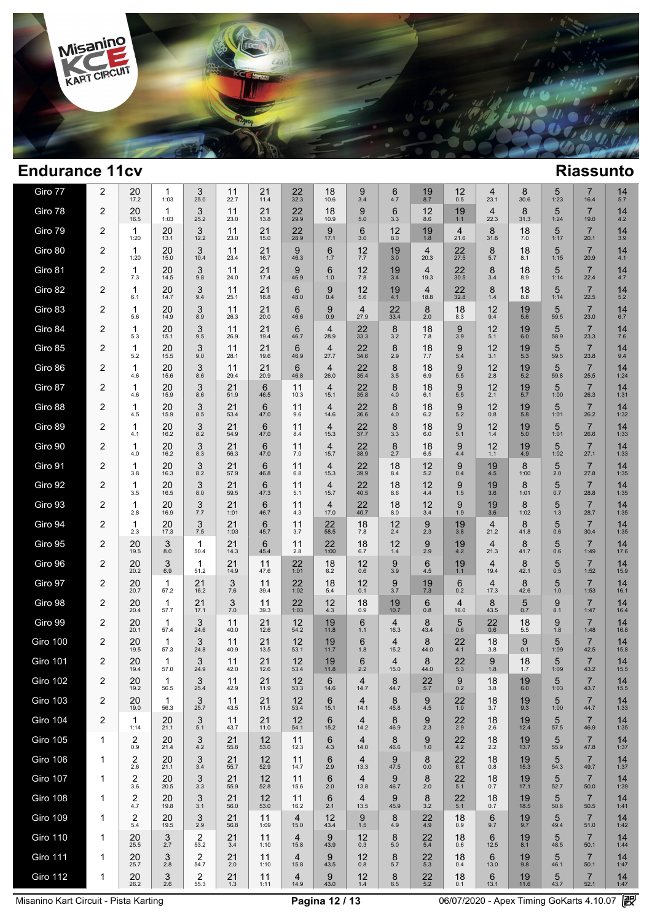

| Giro 77         | 2              | 20<br>17.2           | 1<br>1:03            | 3<br>25.0  | 11<br>22.7 | 21<br>11.4 | 22<br>32.3             | 18<br>10.6             | 9<br>3.4               | 6<br>4.7               | 19<br>8.7              | 12<br>0.5              | 4<br>23.1              | 8<br>30.6  | 5<br>1:23 | $\overline{7}$<br>16.4 | 14<br>5.7  |  |
|-----------------|----------------|----------------------|----------------------|------------|------------|------------|------------------------|------------------------|------------------------|------------------------|------------------------|------------------------|------------------------|------------|-----------|------------------------|------------|--|
| Giro 78         | 2              | 20<br>16.5           | 1<br>1:03            | 3<br>25.2  | 11<br>23.0 | 21<br>13.8 | 22<br>29.9             | 18<br>10.9             | 9<br>5.0               | 6<br>3.3               | 12<br>8.6              | 19<br>1.1              | 4<br>22.3              | 8<br>31.3  | 5<br>1:24 | $\overline{7}$<br>19.0 | 14<br>4.2  |  |
| Giro 79         | 2              | 1<br>1:20            | 20<br>13.1           | 3<br>12.2  | 11<br>23.0 | 21<br>15.0 | 22<br>28.9             | 9<br>17.1              | 6<br>3.0               | 12<br>8.0              | 19<br>1.8              | $\overline{4}$<br>21.6 | 8<br>31.8              | 18<br>7.0  | 5<br>1:17 | $\overline{7}$<br>20.1 | 14<br>3.9  |  |
| Giro 80         | 2              | 1<br>1:20            | 20<br>15.0           | 3<br>10.4  | 11<br>23.4 | 21<br>16.7 | 9<br>46.3              | 6<br>1.7               | 12<br>7.7              | 19<br>3.0              | $\overline{4}$<br>20.3 | 22<br>27.5             | 8<br>5.7               | 18<br>8.1  | 5<br>1:15 | $\overline{7}$<br>20.9 | 14<br>4.1  |  |
| Giro 81         | 2              | 1<br>7.3             | 20<br>14.5           | 3<br>9.8   | 11<br>24.0 | 21<br>17.4 | 9<br>46.9              | 6<br>1.0               | 12<br>7.8              | 19<br>3.4              | $\overline{4}$<br>19.3 | 22<br>30.5             | 8<br>3.4               | 18<br>8.9  | 5<br>1:14 | $\overline{7}$<br>22.4 | 14<br>4.7  |  |
| Giro 82         | 2              | 1<br>6.1             | 20<br>14.7           | 3<br>9.4   | 11<br>25.1 | 21<br>18.8 | 6<br>48.0              | 9<br>0.4               | 12<br>5.6              | 19<br>4.1              | $\overline{4}$<br>18.8 | 22<br>32.8             | 8<br>1.4               | 18<br>8.8  | 5<br>1:14 | $\overline{7}$<br>22.5 | 14<br>5.2  |  |
| Giro 83         | 2              | 1<br>5.6             | 20<br>14.9           | 3<br>8.9   | 11<br>26.3 | 21<br>20.0 | 6<br>46.6              | 9<br>0.9               | $\overline{4}$<br>27.9 | 22<br>33.4             | 8<br>2.0               | 18<br>8.3              | 12<br>9.4              | 19<br>5.6  | 5<br>59.5 | $\overline{7}$<br>23.0 | 14<br>6.7  |  |
| Giro 84         | 2              | 1<br>5.3             | 20<br>15.1           | 3<br>9.5   | 11<br>26.9 | 21<br>19.4 | 6<br>46.7              | 4<br>28.9              | 22<br>33.3             | 8<br>3.2               | 18<br>7.8              | 9<br>3.9               | 12<br>5.1              | 19<br>6.0  | 5<br>58.9 | $\overline{7}$<br>23.3 | 14<br>7.6  |  |
| Giro 85         | 2              | 1<br>5.2             | 20<br>15.5           | 3<br>9.0   | 11<br>28.1 | 21<br>19.6 | 6<br>46.9              | $\overline{4}$<br>27.7 | 22<br>34.6             | 8<br>2.9               | 18<br>7.7              | 9<br>5.4               | 12<br>3.1              | 19<br>5.3  | 5<br>59.5 | $\overline{7}$<br>23.8 | 14<br>9.4  |  |
| Giro 86         | 2              | 1<br>4.6             | 20<br>15.6           | 3<br>8.6   | 11<br>29.4 | 21<br>20.9 | 6<br>46.8              | $\overline{4}$<br>26.0 | 22<br>35.4             | 8<br>3.5               | 18<br>6.9              | 9<br>5.5               | 12<br>2.8              | 19<br>5.2  | 5<br>59.8 | $\overline{7}$<br>25.5 | 14<br>1:24 |  |
| Giro 87         | 2              | 1<br>4.6             | 20<br>15.9           | 3<br>8.6   | 21<br>51.9 | 6<br>46.5  | 11<br>10.3             | $\overline{4}$<br>15.1 | 22<br>35.8             | 8<br>4.0               | 18<br>6.1              | 9<br>5.5               | 12<br>2.1              | 19<br>5.7  | 5<br>1:00 | $\overline{7}$<br>26.3 | 14<br>1:31 |  |
| Giro 88         | 2              | 1<br>4.5             | 20<br>15.9           | 3<br>8.5   | 21<br>53.4 | 6<br>47.0  | 11<br>9.6              | 4<br>14.6              | 22<br>36.6             | 8<br>4.0               | 18<br>6.2              | 9<br>5.2               | 12<br>0.8              | 19<br>5.8  | 5<br>1:01 | $\overline{7}$<br>26.2 | 14<br>1:32 |  |
| Giro 89         | $\overline{2}$ | 1<br>4.1             | 20<br>16.2           | 3<br>8.2   | 21<br>54.9 | 6<br>47.0  | 11<br>8.4              | $\overline{4}$<br>15.3 | 22<br>37.7             | 8<br>3.3               | 18<br>6.0              | 9<br>5.1               | 12<br>1.4              | 19<br>5.0  | 5<br>1:01 | $\overline{7}$<br>26.6 | 14<br>1:33 |  |
| Giro 90         | 2              | 1<br>4.0             | 20<br>16.2           | 3<br>8.3   | 21<br>56.3 | 6<br>47.0  | 11<br>7.0              | 4<br>15.7              | 22<br>38.9             | 8<br>2.7               | 18<br>6.5              | 9<br>4.4               | 12<br>1.1              | 19<br>4.9  | 5<br>1:02 | $\overline{7}$<br>27.1 | 14<br>1:33 |  |
| Giro 91         | $\overline{2}$ | 1<br>3.8             | 20<br>16.3           | 3<br>8.2   | 21<br>57.9 | 6<br>46.8  | 11<br>6.8              | 4<br>15.3              | 22<br>39.9             | 18<br>8.4              | 12<br>5.2              | 9<br>0.4               | 19<br>4.5              | 8<br>1:00  | 5<br>2.0  | $\overline{7}$<br>27.8 | 14<br>1:35 |  |
| Giro 92         | 2              | 1<br>3.5             | 20<br>16.5           | 3<br>8.0   | 21<br>59.5 | 6<br>47.3  | 11<br>5.1              | 4<br>15.7              | 22<br>40.5             | 18<br>8.6              | 12<br>4.4              | 9<br>1.5               | 19<br>3.6              | 8<br>1:01  | 5<br>0.7  | $\overline{7}$<br>28.8 | 14<br>1:35 |  |
| Giro 93         | $\overline{2}$ | 1<br>2.8             | 20<br>16.9           | 3<br>7.7   | 21<br>1:01 | 6<br>46.7  | 11<br>4.3              | 4<br>17.0              | 22<br>40.7             | 18<br>8.0              | 12<br>3.4              | 9<br>1.9               | 19<br>3.6              | 8<br>1:02  | 5<br>1.3  | $\overline{7}$<br>28.7 | 14<br>1:35 |  |
| Giro 94         | 2              | 1<br>2.3             | 20<br>17.3           | 3<br>7.5   | 21<br>1:03 | 6<br>45.7  | 11<br>3.7              | 22<br>58.5             | 18<br>7.8              | 12<br>2.4              | 9<br>2.3               | 19<br>3.8              | 4<br>21.2              | 8<br>41.8  | 5<br>0.6  | $\overline{7}$<br>30.4 | 14<br>1:35 |  |
| Giro 95         | $\overline{2}$ | 20<br>19.5           | 3<br>8.0             | 1<br>50.4  | 21<br>14.3 | 6<br>45.4  | 11<br>2.8              | 22<br>1:00             | 18<br>6.7              | 12<br>1.4              | 9<br>2.9               | 19<br>4.2              | $\overline{4}$<br>21.3 | 8<br>41.7  | 5<br>0.6  | $\overline{7}$<br>1:49 | 14<br>17.6 |  |
| Giro 96         | $\overline{2}$ | 20<br>20.2           | 3<br>6.9             | 1<br>51.2  | 21<br>14.9 | 11<br>47.6 | 22<br>1:01             | 18<br>6.2              | 12<br>0.6              | 9<br>3.9               | 6<br>4.5               | 19<br>1.1              | $\overline{4}$<br>19.4 | 8<br>42.1  | 5<br>0.5  | $\overline{7}$<br>1:52 | 14<br>15.9 |  |
| Giro 97         | $\overline{2}$ | 20<br>20.7           | $\mathbf{1}$<br>57.2 | 21<br>16.2 | 3<br>7.6   | 11<br>39.4 | 22<br>1:02             | 18<br>5.4              | 12<br>0.1              | 9<br>3.7               | 19<br>7.3              | 6<br>0.2               | 4<br>17.3              | 8<br>42.6  | 5<br>1.0  | $\overline{7}$<br>1:53 | 14<br>16.1 |  |
| Giro 98         | $\overline{2}$ | 20<br>20.4           | 1<br>57.7            | 21<br>17.1 | 3<br>7.0   | 11<br>39.3 | 22<br>1:03             | 12<br>4.3              | 18<br>0.9              | 19<br>10.7             | 6<br>0.8               | $\overline{4}$<br>16.0 | 8<br>43.5              | 5<br>0.7   | 9<br>8.1  | $\overline{7}$<br>1:47 | 14<br>16.4 |  |
| Giro 99         | $\overline{2}$ | 20<br>20.1           | 1<br>57.4            | 3<br>24.6  | 11<br>40.0 | 21<br>12.6 | 12<br>54.2             | 19<br>11.8             | 6<br>1.1               | $\overline{4}$<br>16.3 | 8<br>43.4              | 5<br>0.6               | 22<br>0.6              | 18<br>5.5  | 9<br>1.8  | $\overline{7}$<br>1:48 | 14<br>16.8 |  |
| Giro 100        | 2              | 20<br>19.5           | 1<br>57.3            | 3<br>24.8  | 11<br>40.9 | 21<br>13.5 | 12<br>53.1             | 19<br>11.7             | 6<br>1.8               | $\overline{4}$<br>15.2 | 8<br>44.0              | 22<br>4.1              | 18<br>3.8              | 9<br>0.1   | 5<br>1:09 | $\overline{7}$<br>42.5 | 14<br>15.8 |  |
| <b>Giro 101</b> | 2              | 20<br>19.4           | 1<br>57.0            | 3<br>24.9  | 11<br>42.0 | 21<br>12.6 | 12<br>53.4             | 19<br>11.8             | 6<br>2.2               | 4<br>15.0              | 8<br>44.0              | 22<br>5.3              | 9<br>1.8               | 18<br>1.7  | 5<br>1:09 | $\overline{7}$<br>43.2 | 14<br>15.5 |  |
| <b>Giro 102</b> | $\overline{2}$ | 20<br>19.2           | 1<br>56.5            | 3<br>25.4  | 11<br>42.9 | 21<br>11.9 | 12<br>53.3             | 6<br>14.6              | 4<br>14.7              | 8<br>44.7              | 22<br>5.7              | 9<br>0.2               | 18<br>3.8              | 19<br>6.0  | 5<br>1:03 | $\overline{7}$<br>43.7 | 14<br>15.5 |  |
| <b>Giro 103</b> | 2              | 20<br>19.0           | 1<br>56.3            | 3<br>25.7  | 11<br>43.5 | 21<br>11.5 | 12<br>53.4             | 6<br>15.1              | $\overline{4}$<br>14.1 | 8<br>45.8              | 9<br>4.5               | 22<br>$1.0$            | 18<br>3.7              | 19<br>9.3  | 5<br>1:00 | $\overline{7}$<br>44.7 | 14<br>1:33 |  |
| <b>Giro 104</b> | 2              | $\mathbf{1}$<br>1:14 | 20<br>21.1           | 3<br>5.1   | 11<br>43.7 | 21<br>11.0 | 12<br>54.1             | 6<br>15.2              | $\overline{4}$<br>14.2 | 8<br>46.9              | 9<br>2.3               | 22<br>2.9              | 18<br>2.6              | 19<br>12.4 | 5<br>57.5 | $\overline{7}$<br>46.9 | 14<br>1:35 |  |
| <b>Giro 105</b> | 1              | 2<br>0.9             | 20<br>21.4           | 3<br>4.2   | 21<br>55.8 | 12<br>53.0 | 11<br>12.3             | 6<br>4.3               | $\overline{4}$<br>14.0 | 8<br>46.6              | 9<br>1.0               | 22<br>4.2              | 18<br>2.2              | 19<br>13.7 | 5<br>55.9 | $\overline{7}$<br>47.8 | 14<br>1:37 |  |
| <b>Giro 106</b> | $\mathbf 1$    | 2<br>2.6             | 20<br>21.1           | 3<br>3.4   | 21<br>55.7 | 12<br>52.9 | 11<br>14.7             | 6<br>2.9               | $\overline{4}$<br>13.3 | 9<br>47.5              | 8<br>0.0               | 22<br>6.1              | 18<br>0.8              | 19<br>15.3 | 5<br>54.3 | $\overline{7}$<br>49.7 | 14<br>1:37 |  |
| <b>Giro 107</b> | 1              | 2<br>3.6             | 20<br>20.5           | 3<br>3.3   | 21<br>55.9 | 12<br>52.8 | 11<br>15.6             | 6<br>2.0               | $\overline{4}$<br>13.8 | 9<br>46.7              | 8<br>2.0               | 22<br>5.1              | 18<br>0.7              | 19<br>17.1 | 5<br>52.7 | $\overline{7}$<br>50.0 | 14<br>1:39 |  |
| <b>Giro 108</b> | 1              | 2<br>4.7             | 20<br>19.8           | 3<br>3.1   | 21<br>56.0 | 12<br>53.0 | 11<br>16.2             | 6<br>2.1               | $\overline{4}$<br>13.5 | 9<br>45.9              | 8<br>3.2               | 22<br>5.1              | 18<br>0.7              | 19<br>18.5 | 5<br>50.8 | $\overline{7}$<br>50.5 | 14<br>1:41 |  |
| <b>Giro 109</b> | 1              | 2<br>5.4             | 20<br>19.5           | 3<br>2.9   | 21<br>56.8 | 11<br>1:09 | $\overline{4}$<br>15.0 | 12<br>43.4             | 9<br>1.5               | 8<br>4.9               | 22<br>4.9              | 18<br>0.9              | 6<br>9.7               | 19<br>9.7  | 5<br>49.4 | $\overline{7}$<br>51.0 | 14<br>1:42 |  |
| <b>Giro 110</b> | 1              | 20<br>25.5           | 3<br>2.7             | 2<br>53.2  | 21<br>3.4  | 11<br>1:10 | $\overline{4}$<br>15.8 | 9<br>43.9              | 12<br>0.3              | 8<br>5.0               | 22<br>5.4              | 18<br>0.6              | 6<br>12.5              | 19<br>8.1  | 5<br>48.5 | $\overline{7}$<br>50.1 | 14<br>1:44 |  |
| <b>Giro 111</b> | 1              | 20<br>25.7           | 3<br>2.8             | 2<br>54.7  | 21<br>2.0  | 11<br>1:10 | $\overline{4}$<br>15.8 | 9<br>43.5              | 12<br>0.8              | 8<br>5.7               | 22<br>5.3              | 18<br>0.4              | 6<br>13.0              | 19<br>9.8  | 5<br>46.1 | $\overline{7}$<br>50.1 | 14<br>1:47 |  |
| <b>Giro 112</b> | 1              | 20<br>26.2           | 3<br>2.6             | 2<br>55.3  | 21<br>1.3  | 11<br>1:11 | $\overline{4}$<br>14.9 | 9<br>43.0              | 12<br>1.4              | 8<br>6.5               | 22<br>$5.2$            | 18<br>0.1              | 6<br>13.1              | 19<br>11.6 | 5<br>43.7 | $\overline{7}$<br>52.1 | 14<br>1:47 |  |